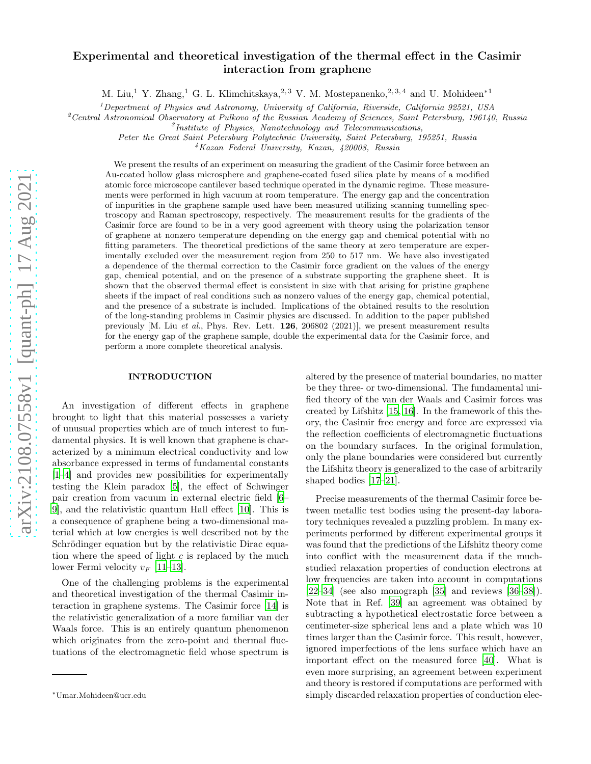# Experimental and theoretical investigation of the thermal effect in the Casimir interaction from graphene

M. Liu,<sup>1</sup> Y. Zhang,<sup>1</sup> G. L. Klimchitskaya,<sup>2, 3</sup> V. M. Mostepanenko,<sup>2, 3, 4</sup> and U. Mohideen<sup>\*1</sup>

<sup>1</sup>Department of Physics and Astronomy, University of California, Riverside, California 92521, USA

<sup>2</sup> Central Astronomical Observatory at Pulkovo of the Russian Academy of Sciences, Saint Petersburg, 196140, Russia

 ${}^{3}$ Institute of Physics, Nanotechnology and Telecommunications,

Peter the Great Saint Petersburg Polytechnic University, Saint Petersburg, 195251, Russia

<sup>4</sup>Kazan Federal University, Kazan, 420008, Russia

We present the results of an experiment on measuring the gradient of the Casimir force between an Au-coated hollow glass microsphere and graphene-coated fused silica plate by means of a modified atomic force microscope cantilever based technique operated in the dynamic regime. These measurements were performed in high vacuum at room temperature. The energy gap and the concentration of impurities in the graphene sample used have been measured utilizing scanning tunnelling spectroscopy and Raman spectroscopy, respectively. The measurement results for the gradients of the Casimir force are found to be in a very good agreement with theory using the polarization tensor of graphene at nonzero temperature depending on the energy gap and chemical potential with no fitting parameters. The theoretical predictions of the same theory at zero temperature are experimentally excluded over the measurement region from 250 to 517 nm. We have also investigated a dependence of the thermal correction to the Casimir force gradient on the values of the energy gap, chemical potential, and on the presence of a substrate supporting the graphene sheet. It is shown that the observed thermal effect is consistent in size with that arising for pristine graphene sheets if the impact of real conditions such as nonzero values of the energy gap, chemical potential, and the presence of a substrate is included. Implications of the obtained results to the resolution of the long-standing problems in Casimir physics are discussed. In addition to the paper published previously  $[M.$  Liu *et al.*, Phys. Rev. Lett. **126**, 206802 (2021)], we present measurement results for the energy gap of the graphene sample, double the experimental data for the Casimir force, and perform a more complete theoretical analysis.

## INTRODUCTION

An investigation of different effects in graphene brought to light that this material possesses a variety of unusual properties which are of much interest to fundamental physics. It is well known that graphene is characterized by a minimum electrical conductivity and low absorbance expressed in terms of fundamental constants [\[1](#page-15-0)[–4\]](#page-15-1) and provides new possibilities for experimentally testing the Klein paradox [\[5\]](#page-16-0), the effect of Schwinger pair creation from vacuum in external electric field [\[6](#page-16-1)– [9](#page-16-2)], and the relativistic quantum Hall effect [\[10](#page-16-3)]. This is a consequence of graphene being a two-dimensional material which at low energies is well described not by the Schrödinger equation but by the relativistic Dirac equation where the speed of light  $c$  is replaced by the much lower Fermi velocity  $v_F$  [\[11](#page-16-4)[–13\]](#page-16-5).

One of the challenging problems is the experimental and theoretical investigation of the thermal Casimir interaction in graphene systems. The Casimir force [\[14](#page-16-6)] is the relativistic generalization of a more familiar van der Waals force. This is an entirely quantum phenomenon which originates from the zero-point and thermal fluctuations of the electromagnetic field whose spectrum is

altered by the presence of material boundaries, no matter be they three- or two-dimensional. The fundamental unified theory of the van der Waals and Casimir forces was created by Lifshitz [\[15,](#page-16-7) [16](#page-16-8)]. In the framework of this theory, the Casimir free energy and force are expressed via the reflection coefficients of electromagnetic fluctuations on the boundary surfaces. In the original formulation, only the plane boundaries were considered but currently the Lifshitz theory is generalized to the case of arbitrarily shaped bodies [\[17](#page-16-9)[–21](#page-16-10)].

Precise measurements of the thermal Casimir force between metallic test bodies using the present-day laboratory techniques revealed a puzzling problem. In many experiments performed by different experimental groups it was found that the predictions of the Lifshitz theory come into conflict with the measurement data if the muchstudied relaxation properties of conduction electrons at low frequencies are taken into account in computations  $[22-34]$  $[22-34]$  (see also monograph  $[35]$  and reviews  $[36-38]$ ). Note that in Ref. [\[39\]](#page-16-16) an agreement was obtained by subtracting a hypothetical electrostatic force between a centimeter-size spherical lens and a plate which was 10 times larger than the Casimir force. This result, however, ignored imperfections of the lens surface which have an important effect on the measured force [\[40\]](#page-17-0). What is even more surprising, an agreement between experiment and theory is restored if computations are performed with simply discarded relaxation properties of conduction elec-

<sup>∗</sup>Umar.Mohideen@ucr.edu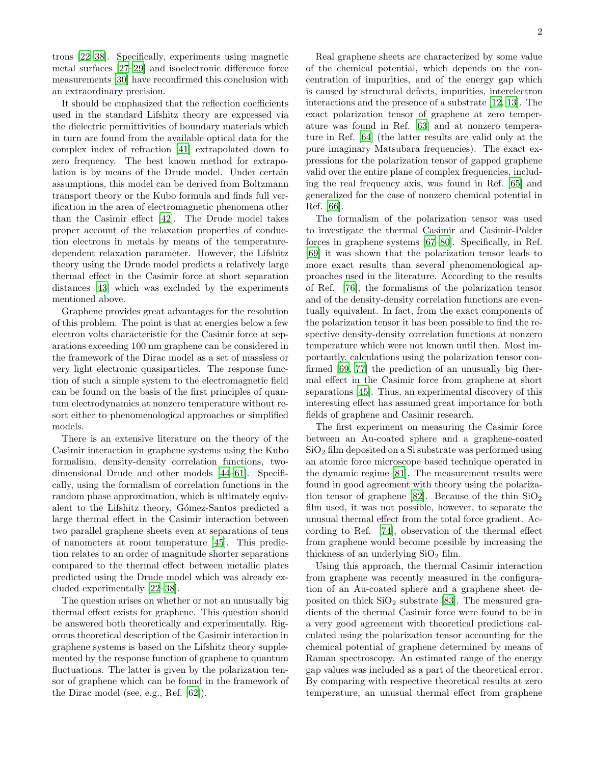trons [\[22](#page-16-11)[–38](#page-16-15)]. Specifically, experiments using magnetic metal surfaces [\[27](#page-16-17)[–29\]](#page-16-18) and isoelectronic difference force measurements [\[30\]](#page-16-19) have reconfirmed this conclusion with an extraordinary precision.

It should be emphasized that the reflection coefficients used in the standard Lifshitz theory are expressed via the dielectric permittivities of boundary materials which in turn are found from the available optical data for the complex index of refraction [\[41](#page-17-1)] extrapolated down to zero frequency. The best known method for extrapolation is by means of the Drude model. Under certain assumptions, this model can be derived from Boltzmann transport theory or the Kubo formula and finds full verification in the area of electromagnetic phenomena other than the Casimir effect [\[42\]](#page-17-2). The Drude model takes proper account of the relaxation properties of conduction electrons in metals by means of the temperaturedependent relaxation parameter. However, the Lifshitz theory using the Drude model predicts a relatively large thermal effect in the Casimir force at short separation distances [\[43](#page-17-3)] which was excluded by the experiments mentioned above.

Graphene provides great advantages for the resolution of this problem. The point is that at energies below a few electron volts characteristic for the Casimir force at separations exceeding 100 nm graphene can be considered in the framework of the Dirac model as a set of massless or very light electronic quasiparticles. The response function of such a simple system to the electromagnetic field can be found on the basis of the first principles of quantum electrodynamics at nonzero temperature without resort either to phenomenological approaches or simplified models.

There is an extensive literature on the theory of the Casimir interaction in graphene systems using the Kubo formalism, density-density correlation functions, twodimensional Drude and other models [\[44](#page-17-4)[–61\]](#page-17-5). Specifically, using the formalism of correlation functions in the random phase approximation, which is ultimately equivalent to the Lifshitz theory, Gómez-Santos predicted a large thermal effect in the Casimir interaction between two parallel graphene sheets even at separations of tens of nanometers at room temperature [\[45\]](#page-17-6). This prediction relates to an order of magnitude shorter separations compared to the thermal effect between metallic plates predicted using the Drude model which was already excluded experimentally [\[22](#page-16-11)[–38\]](#page-16-15).

The question arises on whether or not an unusually big thermal effect exists for graphene. This question should be answered both theoretically and experimentally. Rigorous theoretical description of the Casimir interaction in graphene systems is based on the Lifshitz theory supplemented by the response function of graphene to quantum fluctuations. The latter is given by the polarization tensor of graphene which can be found in the framework of the Dirac model (see, e.g., Ref. [\[62](#page-17-7)]).

Real graphene sheets are characterized by some value of the chemical potential, which depends on the concentration of impurities, and of the energy gap which is caused by structural defects, impurities, interelectron interactions and the presence of a substrate [\[12,](#page-16-20) [13](#page-16-5)]. The exact polarization tensor of graphene at zero temperature was found in Ref. [\[63\]](#page-17-8) and at nonzero temperature in Ref. [\[64\]](#page-17-9) (the latter results are valid only at the pure imaginary Matsubara frequencies). The exact expressions for the polarization tensor of gapped graphene valid over the entire plane of complex frequencies, including the real frequency axis, was found in Ref. [\[65](#page-17-10)] and generalized for the case of nonzero chemical potential in Ref. [\[66\]](#page-17-11).

The formalism of the polarization tensor was used to investigate the thermal Casimir and Casimir-Polder forces in graphene systems [\[67](#page-17-12)[–80](#page-18-0)]. Specifically, in Ref. [\[69\]](#page-17-13) it was shown that the polarization tensor leads to more exact results than several phenomenological approaches used in the literature. According to the results of Ref. [\[76\]](#page-17-14), the formalisms of the polarization tensor and of the density-density correlation functions are eventually equivalent. In fact, from the exact components of the polarization tensor it has been possible to find the respective density-density correlation functions at nonzero temperature which were not known until then. Most importantly, calculations using the polarization tensor confirmed [\[69,](#page-17-13) [77](#page-17-15)] the prediction of an unusually big thermal effect in the Casimir force from graphene at short separations [\[45\]](#page-17-6). Thus, an experimental discovery of this interesting effect has assumed great importance for both fields of graphene and Casimir research.

The first experiment on measuring the Casimir force between an Au-coated sphere and a graphene-coated  $SiO<sub>2</sub>$  film deposited on a Si substrate was performed using an atomic force microscope based technique operated in the dynamic regime [\[81](#page-18-1)]. The measurement results were found in good agreement with theory using the polariza-tion tensor of graphene [\[82\]](#page-18-2). Because of the thin  $SiO<sub>2</sub>$ film used, it was not possible, however, to separate the unusual thermal effect from the total force gradient. According to Ref. [\[74](#page-17-16)], observation of the thermal effect from graphene would become possible by increasing the thickness of an underlying  $SiO<sub>2</sub>$  film.

Using this approach, the thermal Casimir interaction from graphene was recently measured in the configuration of an Au-coated sphere and a graphene sheet deposited on thick  $SiO<sub>2</sub>$  substrate [\[83](#page-18-3)]. The measured gradients of the thermal Casimir force were found to be in a very good agreement with theoretical predictions calculated using the polarization tensor accounting for the chemical potential of graphene determined by means of Raman spectroscopy. An estimated range of the energy gap values was included as a part of the theoretical error. By comparing with respective theoretical results at zero temperature, an unusual thermal effect from graphene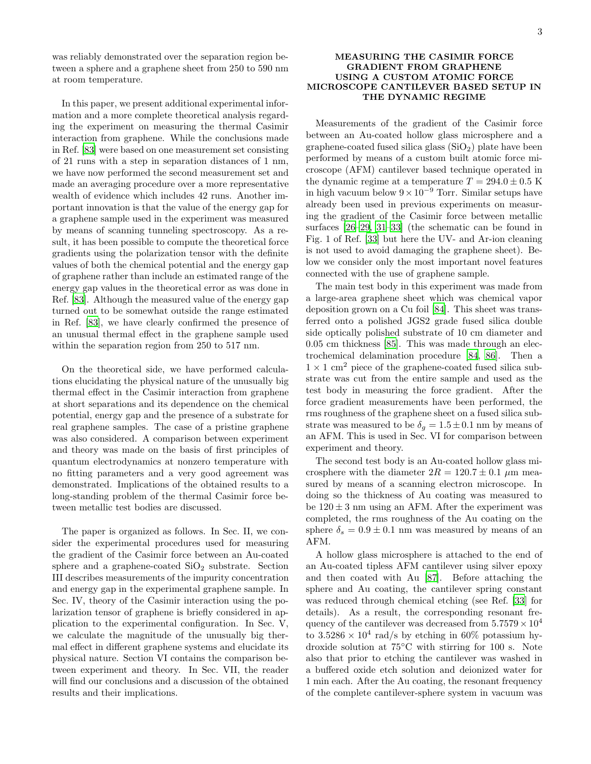was reliably demonstrated over the separation region between a sphere and a graphene sheet from 250 to 590 nm at room temperature.

In this paper, we present additional experimental information and a more complete theoretical analysis regarding the experiment on measuring the thermal Casimir interaction from graphene. While the conclusions made in Ref. [\[83\]](#page-18-3) were based on one measurement set consisting of 21 runs with a step in separation distances of 1 nm, we have now performed the second measurement set and made an averaging procedure over a more representative wealth of evidence which includes 42 runs. Another important innovation is that the value of the energy gap for a graphene sample used in the experiment was measured by means of scanning tunneling spectroscopy. As a result, it has been possible to compute the theoretical force gradients using the polarization tensor with the definite values of both the chemical potential and the energy gap of graphene rather than include an estimated range of the energy gap values in the theoretical error as was done in Ref. [\[83\]](#page-18-3). Although the measured value of the energy gap turned out to be somewhat outside the range estimated in Ref. [\[83\]](#page-18-3), we have clearly confirmed the presence of an unusual thermal effect in the graphene sample used within the separation region from 250 to 517 nm.

On the theoretical side, we have performed calculations elucidating the physical nature of the unusually big thermal effect in the Casimir interaction from graphene at short separations and its dependence on the chemical potential, energy gap and the presence of a substrate for real graphene samples. The case of a pristine graphene was also considered. A comparison between experiment and theory was made on the basis of first principles of quantum electrodynamics at nonzero temperature with no fitting parameters and a very good agreement was demonstrated. Implications of the obtained results to a long-standing problem of the thermal Casimir force between metallic test bodies are discussed.

The paper is organized as follows. In Sec. II, we consider the experimental procedures used for measuring the gradient of the Casimir force between an Au-coated sphere and a graphene-coated  $SiO<sub>2</sub>$  substrate. Section III describes measurements of the impurity concentration and energy gap in the experimental graphene sample. In Sec. IV, theory of the Casimir interaction using the polarization tensor of graphene is briefly considered in application to the experimental configuration. In Sec. V, we calculate the magnitude of the unusually big thermal effect in different graphene systems and elucidate its physical nature. Section VI contains the comparison between experiment and theory. In Sec. VII, the reader will find our conclusions and a discussion of the obtained results and their implications.

### MEASURING THE CASIMIR FORCE GRADIENT FROM GRAPHENE USING A CUSTOM ATOMIC FORCE MICROSCOPE CANTILEVER BASED SETUP IN THE DYNAMIC REGIME

Measurements of the gradient of the Casimir force between an Au-coated hollow glass microsphere and a graphene-coated fused silica glass  $(SiO<sub>2</sub>)$  plate have been performed by means of a custom built atomic force microscope (AFM) cantilever based technique operated in the dynamic regime at a temperature  $T = 294.0 \pm 0.5$  K in high vacuum below  $9 \times 10^{-9}$  Torr. Similar setups have already been used in previous experiments on measuring the gradient of the Casimir force between metallic surfaces [\[26](#page-16-21)[–29](#page-16-18), [31](#page-16-22)[–33](#page-16-23)] (the schematic can be found in Fig. 1 of Ref. [\[33\]](#page-16-23) but here the UV- and Ar-ion cleaning is not used to avoid damaging the graphene sheet). Below we consider only the most important novel features connected with the use of graphene sample.

The main test body in this experiment was made from a large-area graphene sheet which was chemical vapor deposition grown on a Cu foil [\[84](#page-18-4)]. This sheet was transferred onto a polished JGS2 grade fused silica double side optically polished substrate of 10 cm diameter and 0.05 cm thickness [\[85\]](#page-18-5). This was made through an electrochemical delamination procedure [\[84](#page-18-4), [86](#page-18-6)]. Then a  $1 \times 1$  cm<sup>2</sup> piece of the graphene-coated fused silica substrate was cut from the entire sample and used as the test body in measuring the force gradient. After the force gradient measurements have been performed, the rms roughness of the graphene sheet on a fused silica substrate was measured to be  $\delta_g = 1.5 \pm 0.1$  nm by means of an AFM. This is used in Sec. VI for comparison between experiment and theory.

The second test body is an Au-coated hollow glass microsphere with the diameter  $2R = 120.7 \pm 0.1 \mu$ m measured by means of a scanning electron microscope. In doing so the thickness of Au coating was measured to be  $120 \pm 3$  nm using an AFM. After the experiment was completed, the rms roughness of the Au coating on the sphere  $\delta_s = 0.9 \pm 0.1$  nm was measured by means of an AFM.

A hollow glass microsphere is attached to the end of an Au-coated tipless AFM cantilever using silver epoxy and then coated with Au [\[87\]](#page-18-7). Before attaching the sphere and Au coating, the cantilever spring constant was reduced through chemical etching (see Ref. [\[33\]](#page-16-23) for details). As a result, the corresponding resonant frequency of the cantilever was decreased from  $5.7579 \times 10^4$ to  $3.5286 \times 10^4$  rad/s by etching in 60% potassium hydroxide solution at 75◦C with stirring for 100 s. Note also that prior to etching the cantilever was washed in a buffered oxide etch solution and deionized water for 1 min each. After the Au coating, the resonant frequency of the complete cantilever-sphere system in vacuum was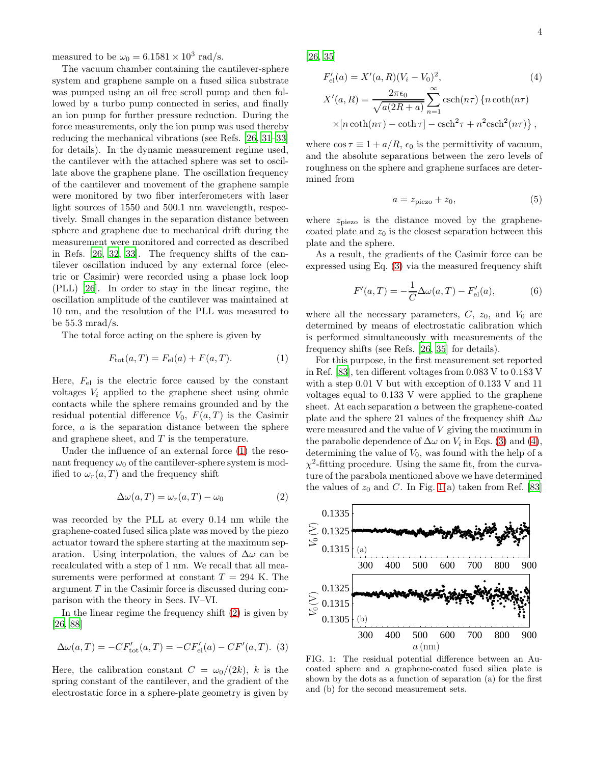measured to be  $\omega_0 = 6.1581 \times 10^3$  rad/s.

The vacuum chamber containing the cantilever-sphere system and graphene sample on a fused silica substrate was pumped using an oil free scroll pump and then followed by a turbo pump connected in series, and finally an ion pump for further pressure reduction. During the force measurements, only the ion pump was used thereby reducing the mechanical vibrations (see Refs. [\[26,](#page-16-21) [31](#page-16-22)[–33\]](#page-16-23) for details). In the dynamic measurement regime used, the cantilever with the attached sphere was set to oscillate above the graphene plane. The oscillation frequency of the cantilever and movement of the graphene sample were monitored by two fiber interferometers with laser light sources of 1550 and 500.1 nm wavelength, respectively. Small changes in the separation distance between sphere and graphene due to mechanical drift during the measurement were monitored and corrected as described in Refs. [\[26,](#page-16-21) [32,](#page-16-24) [33](#page-16-23)]. The frequency shifts of the cantilever oscillation induced by any external force (electric or Casimir) were recorded using a phase lock loop (PLL) [\[26](#page-16-21)]. In order to stay in the linear regime, the oscillation amplitude of the cantilever was maintained at 10 nm, and the resolution of the PLL was measured to be 55.3 mrad/s.

The total force acting on the sphere is given by

<span id="page-3-0"></span>
$$
F_{\text{tot}}(a, T) = F_{\text{el}}(a) + F(a, T). \tag{1}
$$

Here,  $F_{el}$  is the electric force caused by the constant voltages  $V_i$  applied to the graphene sheet using ohmic contacts while the sphere remains grounded and by the residual potential difference  $V_0$ ,  $F(a,T)$  is the Casimir force, a is the separation distance between the sphere and graphene sheet, and  $T$  is the temperature.

Under the influence of an external force [\(1\)](#page-3-0) the resonant frequency  $\omega_0$  of the cantilever-sphere system is modified to  $\omega_r(a,T)$  and the frequency shift

<span id="page-3-1"></span>
$$
\Delta \omega(a, T) = \omega_r(a, T) - \omega_0 \tag{2}
$$

was recorded by the PLL at every 0.14 nm while the graphene-coated fused silica plate was moved by the piezo actuator toward the sphere starting at the maximum separation. Using interpolation, the values of  $\Delta\omega$  can be recalculated with a step of 1 nm. We recall that all measurements were performed at constant  $T = 294$  K. The argument T in the Casimir force is discussed during comparison with the theory in Secs. IV–VI.

In the linear regime the frequency shift [\(2\)](#page-3-1) is given by [\[26,](#page-16-21) [88\]](#page-18-8)

<span id="page-3-2"></span>
$$
\Delta \omega(a,T) = -CF'_{\text{tot}}(a,T) = -CF'_{\text{el}}(a) - CF'(a,T). \tag{3}
$$

Here, the calibration constant  $C = \omega_0/(2k)$ , k is the spring constant of the cantilever, and the gradient of the electrostatic force in a sphere-plate geometry is given by [\[26,](#page-16-21) [35\]](#page-16-13)

<span id="page-3-3"></span>
$$
F'_{el}(a) = X'(a, R)(V_i - V_0)^2,
$$
\n
$$
X'(a, R) = \frac{2\pi\epsilon_0}{\sqrt{a(2R + a)}} \sum_{n=1}^{\infty} \operatorname{csch}(n\tau) \left\{ n \coth(n\tau) \right\}
$$
\n
$$
\times [n \coth(n\tau) - \coth \tau] - \operatorname{csch}^2 \tau + n^2 \operatorname{csch}^2(n\tau) \left\},
$$
\n(4)

where  $\cos \tau \equiv 1 + a/R$ ,  $\epsilon_0$  is the permittivity of vacuum, and the absolute separations between the zero levels of roughness on the sphere and graphene surfaces are determined from

$$
a = z_{\text{piezo}} + z_0,\tag{5}
$$

where  $z_{\text{piezo}}$  is the distance moved by the graphenecoated plate and  $z_0$  is the closest separation between this plate and the sphere.

As a result, the gradients of the Casimir force can be expressed using Eq. [\(3\)](#page-3-2) via the measured frequency shift

<span id="page-3-5"></span>
$$
F'(a,T) = -\frac{1}{C}\Delta\omega(a,T) - F'_{\text{el}}(a),\tag{6}
$$

where all the necessary parameters,  $C$ ,  $z_0$ , and  $V_0$  are determined by means of electrostatic calibration which is performed simultaneously with measurements of the frequency shifts (see Refs. [\[26](#page-16-21), [35](#page-16-13)] for details).

For this purpose, in the first measurement set reported in Ref. [\[83\]](#page-18-3), ten different voltages from 0.083 V to 0.183 V with a step 0.01 V but with exception of 0.133 V and 11 voltages equal to 0.133 V were applied to the graphene sheet. At each separation a between the graphene-coated plate and the sphere 21 values of the frequency shift  $\Delta\omega$ were measured and the value of V giving the maximum in the parabolic dependence of  $\Delta\omega$  on  $V_i$  in Eqs. [\(3\)](#page-3-2) and [\(4\)](#page-3-3), determining the value of  $V_0$ , was found with the help of a  $\chi^2$ -fitting procedure. Using the same fit, from the curvature of the parabola mentioned above we have determined the values of  $z_0$  and C. In Fig. [1\(](#page-3-4)a) taken from Ref. [\[83](#page-18-3)]



<span id="page-3-4"></span>FIG. 1: The residual potential difference between an Aucoated sphere and a graphene-coated fused silica plate is shown by the dots as a function of separation (a) for the first and (b) for the second measurement sets.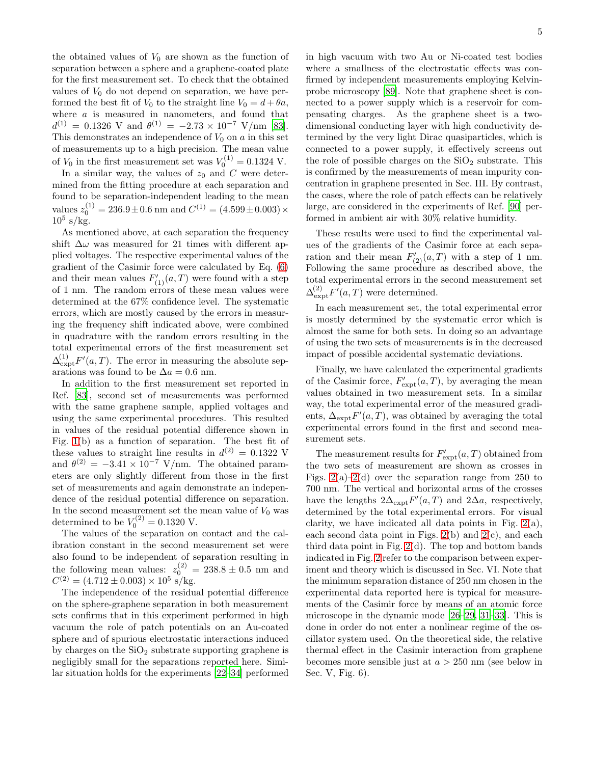the obtained values of  $V_0$  are shown as the function of separation between a sphere and a graphene-coated plate for the first measurement set. To check that the obtained values of  $V_0$  do not depend on separation, we have performed the best fit of  $V_0$  to the straight line  $V_0 = d + \theta a$ , where *a* is measured in nanometers, and found that  $d^{(1)} = 0.1326$  V and  $\theta^{(1)} = -2.73 \times 10^{-7}$  V/nm [\[83\]](#page-18-3). This demonstrates an independence of  $V_0$  on  $\alpha$  in this set of measurements up to a high precision. The mean value of  $V_0$  in the first measurement set was  $V_0^{(1)} = 0.1324$  V.

In a similar way, the values of  $z_0$  and C were determined from the fitting procedure at each separation and found to be separation-independent leading to the mean values  $z_0^{(1)} = 236.9 \pm 0.6$  nm and  $C^{(1)} = (4.599 \pm 0.003) \times$  $10^5$  s/kg.

As mentioned above, at each separation the frequency shift  $\Delta\omega$  was measured for 21 times with different applied voltages. The respective experimental values of the gradient of the Casimir force were calculated by Eq. [\(6\)](#page-3-5) and their mean values  $F'_{(1)}(a,T)$  were found with a step of 1 nm. The random errors of these mean values were determined at the 67% confidence level. The systematic errors, which are mostly caused by the errors in measuring the frequency shift indicated above, were combined in quadrature with the random errors resulting in the total experimental errors of the first measurement set  $\Delta_{\text{expt}}^{(1)}F'(a,T)$ . The error in measuring the absolute separations was found to be  $\Delta a = 0.6$  nm.

In addition to the first measurement set reported in Ref. [\[83\]](#page-18-3), second set of measurements was performed with the same graphene sample, applied voltages and using the same experimental procedures. This resulted in values of the residual potential difference shown in Fig. [1\(](#page-3-4)b) as a function of separation. The best fit of these values to straight line results in  $d^{(2)} = 0.1322$  V and  $\theta^{(2)} = -3.41 \times 10^{-7} \text{ V/mm}$ . The obtained parameters are only slightly different from those in the first set of measurements and again demonstrate an independence of the residual potential difference on separation. In the second measurement set the mean value of  $V_0$  was determined to be  $V_0^{(2)} = 0.1320$  V.

The values of the separation on contact and the calibration constant in the second measurement set were also found to be independent of separation resulting in the following mean values:  $z_0^{(2)} = 238.8 \pm 0.5$  nm and  $C^{(2)} = (4.712 \pm 0.003) \times 10^5$  s/kg.

The independence of the residual potential difference on the sphere-graphene separation in both measurement sets confirms that in this experiment performed in high vacuum the role of patch potentials on an Au-coated sphere and of spurious electrostatic interactions induced by charges on the  $SiO<sub>2</sub>$  substrate supporting graphene is negligibly small for the separations reported here. Similar situation holds for the experiments [\[22](#page-16-11)[–34](#page-16-12)] performed

in high vacuum with two Au or Ni-coated test bodies where a smallness of the electrostatic effects was confirmed by independent measurements employing Kelvinprobe microscopy [\[89\]](#page-18-9). Note that graphene sheet is connected to a power supply which is a reservoir for compensating charges. As the graphene sheet is a twodimensional conducting layer with high conductivity determined by the very light Dirac quasiparticles, which is connected to a power supply, it effectively screens out the role of possible charges on the  $SiO<sub>2</sub>$  substrate. This is confirmed by the measurements of mean impurity concentration in graphene presented in Sec. III. By contrast, the cases, where the role of patch effects can be relatively large, are considered in the experiments of Ref. [\[90\]](#page-18-10) performed in ambient air with 30% relative humidity.

These results were used to find the experimental values of the gradients of the Casimir force at each separation and their mean  $F'_{(2)}(a,T)$  with a step of 1 nm. Following the same procedure as described above, the total experimental errors in the second measurement set  $\Delta^{(2)}_{\text{expt}}F'(a,T)$  were determined.

In each measurement set, the total experimental error is mostly determined by the systematic error which is almost the same for both sets. In doing so an advantage of using the two sets of measurements is in the decreased impact of possible accidental systematic deviations.

Finally, we have calculated the experimental gradients of the Casimir force,  $F'_{\text{expt}}(a,T)$ , by averaging the mean values obtained in two measurement sets. In a similar way, the total experimental error of the measured gradients,  $\Delta_{\text{expt}} F'(a, T)$ , was obtained by averaging the total experimental errors found in the first and second measurement sets.

The measurement results for  $F'_{\text{expt}}(a,T)$  obtained from the two sets of measurement are shown as crosses in Figs.  $2(a)-2(d)$  over the separation range from 250 to 700 nm. The vertical and horizontal arms of the crosses have the lengths  $2\Delta_{\text{expt}}F'(a,T)$  and  $2\Delta a$ , respectively, determined by the total experimental errors. For visual clarity, we have indicated all data points in Fig.  $2(a)$ , each second data point in Figs.  $2(b)$  and  $2(c)$ , and each third data point in Fig. [2\(](#page-5-0)d). The top and bottom bands indicated in Fig. [2](#page-5-0) refer to the comparison between experiment and theory which is discussed in Sec. VI. Note that the minimum separation distance of 250 nm chosen in the experimental data reported here is typical for measurements of the Casimir force by means of an atomic force microscope in the dynamic mode [\[26](#page-16-21)[–29,](#page-16-18) [31](#page-16-22)[–33\]](#page-16-23). This is done in order do not enter a nonlinear regime of the oscillator system used. On the theoretical side, the relative thermal effect in the Casimir interaction from graphene becomes more sensible just at  $a > 250$  nm (see below in Sec. V, Fig. 6).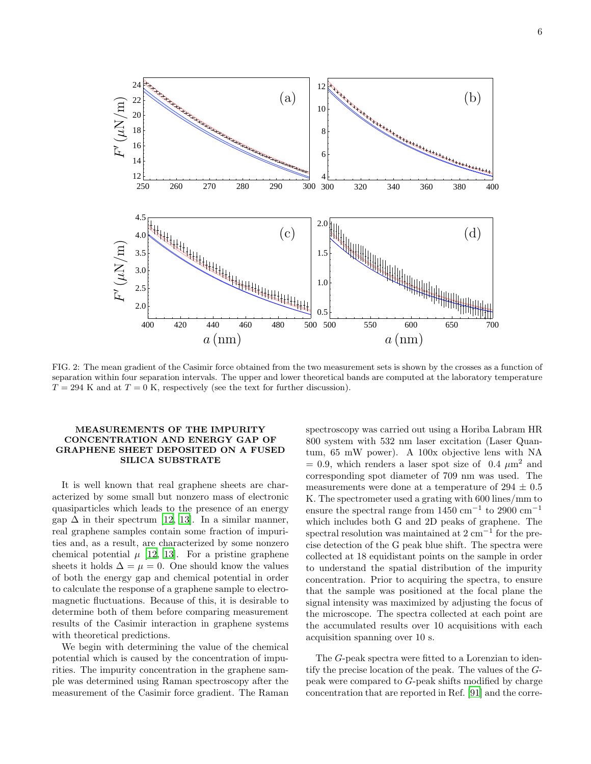

<span id="page-5-0"></span>FIG. 2: The mean gradient of the Casimir force obtained from the two measurement sets is shown by the crosses as a function of separation within four separation intervals. The upper and lower theoretical bands are computed at the laboratory temperature  $T = 294$  K and at  $T = 0$  K, respectively (see the text for further discussion).

# MEASUREMENTS OF THE IMPURITY CONCENTRATION AND ENERGY GAP OF GRAPHENE SHEET DEPOSITED ON A FUSED SILICA SUBSTRATE

It is well known that real graphene sheets are characterized by some small but nonzero mass of electronic quasiparticles which leads to the presence of an energy gap  $\Delta$  in their spectrum [\[12,](#page-16-20) [13](#page-16-5)]. In a similar manner, real graphene samples contain some fraction of impurities and, as a result, are characterized by some nonzero chemical potential  $\mu$  [\[12,](#page-16-20) [13\]](#page-16-5). For a pristine graphene sheets it holds  $\Delta = \mu = 0$ . One should know the values of both the energy gap and chemical potential in order to calculate the response of a graphene sample to electromagnetic fluctuations. Because of this, it is desirable to determine both of them before comparing measurement results of the Casimir interaction in graphene systems with theoretical predictions.

We begin with determining the value of the chemical potential which is caused by the concentration of impurities. The impurity concentration in the graphene sample was determined using Raman spectroscopy after the measurement of the Casimir force gradient. The Raman

spectroscopy was carried out using a Horiba Labram HR 800 system with 532 nm laser excitation (Laser Quantum, 65 mW power). A 100x objective lens with NA  $= 0.9$ , which renders a laser spot size of 0.4  $\mu$ m<sup>2</sup> and corresponding spot diameter of 709 nm was used. The measurements were done at a temperature of 294  $\pm$  0.5 K. The spectrometer used a grating with 600 lines/mm to ensure the spectral range from  $1450 \text{ cm}^{-1}$  to  $2900 \text{ cm}^{-1}$ which includes both G and 2D peaks of graphene. The spectral resolution was maintained at 2 cm<sup>-1</sup> for the precise detection of the G peak blue shift. The spectra were collected at 18 equidistant points on the sample in order to understand the spatial distribution of the impurity concentration. Prior to acquiring the spectra, to ensure that the sample was positioned at the focal plane the signal intensity was maximized by adjusting the focus of the microscope. The spectra collected at each point are the accumulated results over 10 acquisitions with each acquisition spanning over 10 s.

The G-peak spectra were fitted to a Lorenzian to identify the precise location of the peak. The values of the Gpeak were compared to G-peak shifts modified by charge concentration that are reported in Ref. [\[91](#page-18-11)] and the corre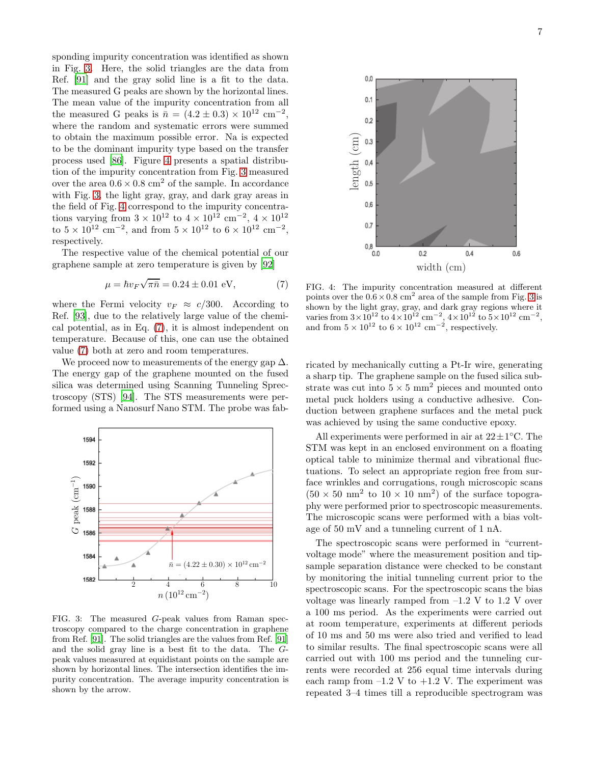sponding impurity concentration was identified as shown in Fig. [3.](#page-6-0) Here, the solid triangles are the data from Ref. [\[91\]](#page-18-11) and the gray solid line is a fit to the data. The measured G peaks are shown by the horizontal lines. The mean value of the impurity concentration from all the measured G peaks is  $\bar{n} = (4.2 \pm 0.3) \times 10^{12} \text{ cm}^{-2}$ , where the random and systematic errors were summed to obtain the maximum possible error. Na is expected to be the dominant impurity type based on the transfer process used [\[86\]](#page-18-6). Figure [4](#page-6-1) presents a spatial distribution of the impurity concentration from Fig. [3](#page-6-0) measured over the area  $0.6 \times 0.8$  cm<sup>2</sup> of the sample. In accordance with Fig. [3,](#page-6-0) the light gray, gray, and dark gray areas in the field of Fig. [4](#page-6-1) correspond to the impurity concentrations varying from  $3 \times 10^{12}$  to  $4 \times 10^{12}$  cm<sup>-2</sup>,  $4 \times 10^{12}$ to  $5 \times 10^{12}$  cm<sup>-2</sup>, and from  $5 \times 10^{12}$  to  $6 \times 10^{12}$  cm<sup>-2</sup>, respectively.

The respective value of the chemical potential of our graphene sample at zero temperature is given by [\[92\]](#page-18-12)

<span id="page-6-2"></span>
$$
\mu = \hbar v_F \sqrt{\pi \bar{n}} = 0.24 \pm 0.01 \text{ eV}, \tag{7}
$$

where the Fermi velocity  $v_F \approx c/300$ . According to Ref. [\[93\]](#page-18-13), due to the relatively large value of the chemical potential, as in Eq. [\(7\)](#page-6-2), it is almost independent on temperature. Because of this, one can use the obtained value [\(7\)](#page-6-2) both at zero and room temperatures.

We proceed now to measurements of the energy gap  $\Delta$ . The energy gap of the graphene mounted on the fused silica was determined using Scanning Tunneling Sprectroscopy (STS) [\[94](#page-18-14)]. The STS measurements were performed using a Nanosurf Nano STM. The probe was fab-



<span id="page-6-0"></span>FIG. 3: The measured G-peak values from Raman spectroscopy compared to the charge concentration in graphene from Ref. [\[91](#page-18-11)]. The solid triangles are the values from Ref. [\[91](#page-18-11)] and the solid gray line is a best fit to the data. The Gpeak values measured at equidistant points on the sample are shown by horizontal lines. The intersection identifies the impurity concentration. The average impurity concentration is shown by the arrow.



<span id="page-6-1"></span>FIG. 4: The impurity concentration measured at different points over the  $0.6 \times 0.8$  cm<sup>2</sup> area of the sample from Fig. [3](#page-6-0) is shown by the light gray, gray, and dark gray regions where it varies from  $3 \times 10^{12}$  to  $4 \times 10^{12}$  cm<sup>-2</sup>,  $4 \times 10^{12}$  to  $5 \times 10^{12}$  cm<sup>-2</sup>, respectively.

ricated by mechanically cutting a Pt-Ir wire, generating a sharp tip. The graphene sample on the fused silica substrate was cut into  $5 \times 5$  mm<sup>2</sup> pieces and mounted onto metal puck holders using a conductive adhesive. Conduction between graphene surfaces and the metal puck was achieved by using the same conductive epoxy.

All experiments were performed in air at  $22 \pm 1^{\circ}$ C. The STM was kept in an enclosed environment on a floating optical table to minimize thermal and vibrational fluctuations. To select an appropriate region free from surface wrinkles and corrugations, rough microscopic scans  $(50 \times 50 \text{ nm}^2 \text{ to } 10 \times 10 \text{ nm}^2)$  of the surface topography were performed prior to spectroscopic measurements. The microscopic scans were performed with a bias voltage of 50 mV and a tunneling current of 1 nA.

The spectroscopic scans were performed in "currentvoltage mode" where the measurement position and tipsample separation distance were checked to be constant by monitoring the initial tunneling current prior to the spectroscopic scans. For the spectroscopic scans the bias voltage was linearly ramped from  $-1.2$  V to 1.2 V over a 100 ms period. As the experiments were carried out at room temperature, experiments at different periods of 10 ms and 50 ms were also tried and verified to lead to similar results. The final spectroscopic scans were all carried out with 100 ms period and the tunneling currents were recorded at 256 equal time intervals during each ramp from  $-1.2$  V to  $+1.2$  V. The experiment was repeated 3–4 times till a reproducible spectrogram was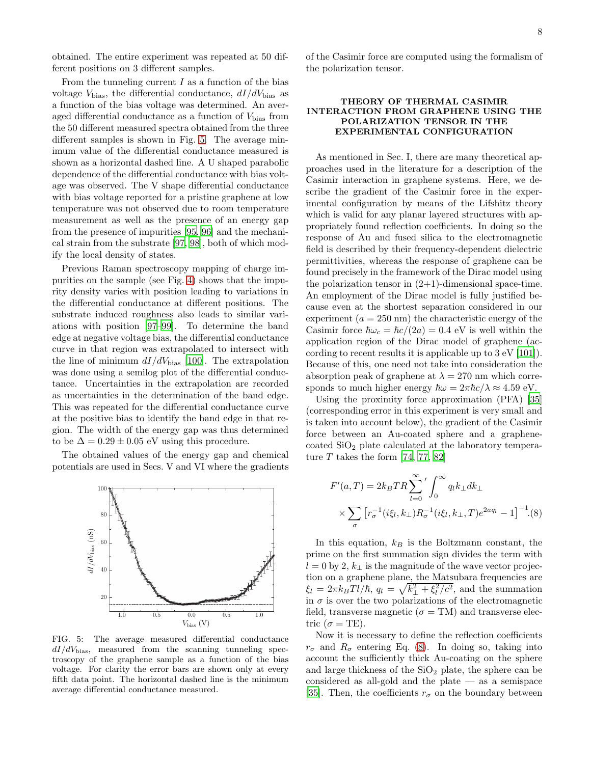obtained. The entire experiment was repeated at 50 different positions on 3 different samples.

From the tunneling current  $I$  as a function of the bias voltage  $V_{\text{bias}}$ , the differential conductance,  $dI/dV_{\text{bias}}$  as a function of the bias voltage was determined. An averaged differential conductance as a function of  $V_{\text{bias}}$  from the 50 different measured spectra obtained from the three different samples is shown in Fig. [5.](#page-7-0) The average minimum value of the differential conductance measured is shown as a horizontal dashed line. A U shaped parabolic dependence of the differential conductance with bias voltage was observed. The V shape differential conductance with bias voltage reported for a pristine graphene at low temperature was not observed due to room temperature measurement as well as the presence of an energy gap from the presence of impurities [\[95,](#page-18-15) [96\]](#page-18-16) and the mechanical strain from the substrate [\[97,](#page-18-17) [98\]](#page-18-18), both of which modify the local density of states.

Previous Raman spectroscopy mapping of charge impurities on the sample (see Fig. [4\)](#page-6-1) shows that the impurity density varies with position leading to variations in the differential conductance at different positions. The substrate induced roughness also leads to similar variations with position [\[97](#page-18-17)[–99\]](#page-18-19). To determine the band edge at negative voltage bias, the differential conductance curve in that region was extrapolated to intersect with the line of minimum  $dI/dV_{bias}$  [\[100](#page-18-20)]. The extrapolation was done using a semilog plot of the differential conductance. Uncertainties in the extrapolation are recorded as uncertainties in the determination of the band edge. This was repeated for the differential conductance curve at the positive bias to identify the band edge in that region. The width of the energy gap was thus determined to be  $\Delta = 0.29 \pm 0.05$  eV using this procedure.

The obtained values of the energy gap and chemical potentials are used in Secs. V and VI where the gradients



<span id="page-7-0"></span>FIG. 5: The average measured differential conductance  $dI/dV_{\text{bias}}$ , measured from the scanning tunneling spectroscopy of the graphene sample as a function of the bias voltage. For clarity the error bars are shown only at every fifth data point. The horizontal dashed line is the minimum average differential conductance measured.

of the Casimir force are computed using the formalism of the polarization tensor.

## THEORY OF THERMAL CASIMIR INTERACTION FROM GRAPHENE USING THE POLARIZATION TENSOR IN THE EXPERIMENTAL CONFIGURATION

As mentioned in Sec. I, there are many theoretical approaches used in the literature for a description of the Casimir interaction in graphene systems. Here, we describe the gradient of the Casimir force in the experimental configuration by means of the Lifshitz theory which is valid for any planar layered structures with appropriately found reflection coefficients. In doing so the response of Au and fused silica to the electromagnetic field is described by their frequency-dependent dielectric permittivities, whereas the response of graphene can be found precisely in the framework of the Dirac model using the polarization tensor in  $(2+1)$ -dimensional space-time. An employment of the Dirac model is fully justified because even at the shortest separation considered in our experiment  $(a = 250 \text{ nm})$  the characteristic energy of the Casimir force  $\hbar\omega_c = \hbar c/(2a) = 0.4$  eV is well within the application region of the Dirac model of graphene (according to recent results it is applicable up to 3 eV [\[101\]](#page-18-21)). Because of this, one need not take into consideration the absorption peak of graphene at  $\lambda = 270$  nm which corresponds to much higher energy  $\hbar \omega = 2\pi \hbar c / \lambda \approx 4.59 \text{ eV}.$ 

Using the proximity force approximation (PFA) [\[35](#page-16-13)] (corresponding error in this experiment is very small and is taken into account below), the gradient of the Casimir force between an Au-coated sphere and a graphenecoated  $SiO<sub>2</sub>$  plate calculated at the laboratory temperature  $T$  takes the form [\[74,](#page-17-16) [77,](#page-17-15) [82\]](#page-18-2)

<span id="page-7-1"></span>
$$
F'(a,T) = 2k_B TR \sum_{l=0}^{\infty} ' \int_0^{\infty} q_l k_{\perp} dk_{\perp}
$$
  
 
$$
\times \sum_{\sigma} [r_{\sigma}^{-1}(i\xi_l, k_{\perp}) R_{\sigma}^{-1}(i\xi_l, k_{\perp}, T) e^{2aq_l} - 1]^{-1}.
$$
 (8)

In this equation,  $k_B$  is the Boltzmann constant, the prime on the first summation sign divides the term with  $l = 0$  by 2,  $k_{\perp}$  is the magnitude of the wave vector projection on a graphene plane, the Matsubara frequencies are  $\xi_l = 2\pi k_B T l/\hbar, q_l = \sqrt{k_\perp^2 + \xi_l^2/c^2}$ , and the summation in  $\sigma$  is over the two polarizations of the electromagnetic field, transverse magnetic ( $\sigma = TM$ ) and transverse electric ( $\sigma = TE$ ).

Now it is necessary to define the reflection coefficients  $r_{\sigma}$  and  $R_{\sigma}$  entering Eq. [\(8\)](#page-7-1). In doing so, taking into account the sufficiently thick Au-coating on the sphere and large thickness of the  $SiO<sub>2</sub>$  plate, the sphere can be considered as all-gold and the plate — as a semispace [\[35\]](#page-16-13). Then, the coefficients  $r_{\sigma}$  on the boundary between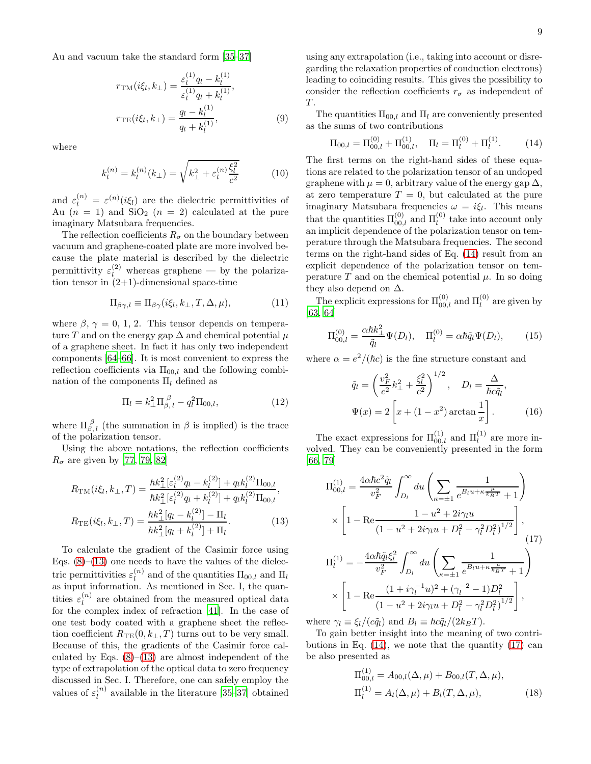Au and vacuum take the standard form [\[35](#page-16-13)[–37](#page-16-25)]

<span id="page-8-4"></span>
$$
r_{\text{TM}}(i\xi_l, k_\perp) = \frac{\varepsilon_l^{(1)} q_l - k_l^{(1)}}{\varepsilon_l^{(1)} q_l + k_l^{(1)}},
$$

$$
r_{\text{TE}}(i\xi_l, k_\perp) = \frac{q_l - k_l^{(1)}}{q_l + k_l^{(1)}},
$$
(9)

where

$$
k_l^{(n)} = k_l^{(n)}(k_\perp) = \sqrt{k_\perp^2 + \varepsilon_l^{(n)} \frac{\xi_l^2}{c^2}} \tag{10}
$$

and  $\varepsilon_l^{(n)} = \varepsilon^{(n)}(i\xi_l)$  are the dielectric permittivities of Au  $(n = 1)$  and  $SiO<sub>2</sub>$   $(n = 2)$  calculated at the pure imaginary Matsubara frequencies.

The reflection coefficients  $R_{\sigma}$  on the boundary between vacuum and graphene-coated plate are more involved because the plate material is described by the dielectric permittivity  $\varepsilon_l^{(2)}$  whereas graphene — by the polarization tensor in  $(2+1)$ -dimensional space-time

$$
\Pi_{\beta\gamma,l} \equiv \Pi_{\beta\gamma}(i\xi_l,k_\perp,T,\Delta,\mu),\tag{11}
$$

where  $\beta$ ,  $\gamma = 0, 1, 2$ . This tensor depends on temperature T and on the energy gap  $\Delta$  and chemical potential  $\mu$ of a graphene sheet. In fact it has only two independent components [\[64](#page-17-9)[–66](#page-17-11)]. It is most convenient to express the reflection coefficients via  $\Pi_{00,l}$  and the following combination of the components  $\Pi_l$  defined as

$$
\Pi_l = k_\perp^2 \Pi_{\beta,\,l}^{\,\beta} - q_l^2 \Pi_{00,l},\tag{12}
$$

where  $\Pi_{\beta, l}^{\beta}$  (the summation in  $\beta$  is implied) is the trace of the polarization tensor.

Using the above notations, the reflection coefficients  $R_{\sigma}$  are given by [\[77,](#page-17-15) [79,](#page-18-22) [82\]](#page-18-2)

<span id="page-8-0"></span>
$$
R_{\text{TM}}(i\xi_l, k_\perp, T) = \frac{\hbar k_\perp^2 \left[\varepsilon_l^{(2)} q_l - k_l^{(2)}\right] + q_l k_l^{(2)} \Pi_{00,l}}{\hbar k_\perp^2 \left[\varepsilon_l^{(2)} q_l + k_l^{(2)}\right] + q_l k_l^{(2)} \Pi_{00,l}},
$$
  
\n
$$
R_{\text{TE}}(i\xi_l, k_\perp, T) = \frac{\hbar k_\perp^2 \left[q_l - k_l^{(2)}\right] - \Pi_l}{\hbar k_\perp^2 \left[q_l + k_l^{(2)}\right] + \Pi_l}.
$$
\n(13)

To calculate the gradient of the Casimir force using Eqs.  $(8)$ – $(13)$  one needs to have the values of the dielectric permittivities  $\varepsilon_l^{(n)}$  $\prod_{l}^{(h)}$  and of the quantities  $\Pi_{00,l}$  and  $\Pi_{l}$ as input information. As mentioned in Sec. I, the quantities  $\varepsilon_l^{(n)}$  $\binom{n}{l}$  are obtained from the measured optical data for the complex index of refraction [\[41\]](#page-17-1). In the case of one test body coated with a graphene sheet the reflection coefficient  $R_{\text{TE}}(0, k_{\perp}, T)$  turns out to be very small. Because of this, the gradients of the Casimir force calculated by Eqs.  $(8)$ – $(13)$  are almost independent of the type of extrapolation of the optical data to zero frequency discussed in Sec. I. Therefore, one can safely employ the values of  $\varepsilon_l^{(n)}$  $\binom{n}{l}$  available in the literature [\[35–](#page-16-13)[37\]](#page-16-25) obtained

using any extrapolation (i.e., taking into account or disregarding the relaxation properties of conduction electrons) leading to coinciding results. This gives the possibility to consider the reflection coefficients  $r_{\sigma}$  as independent of  $T$ .

The quantities  $\Pi_{00,l}$  and  $\Pi_l$  are conveniently presented as the sums of two contributions

<span id="page-8-1"></span>
$$
\Pi_{00,l} = \Pi_{00,l}^{(0)} + \Pi_{00,l}^{(1)}, \quad \Pi_l = \Pi_l^{(0)} + \Pi_l^{(1)}.
$$
 (14)

The first terms on the right-hand sides of these equations are related to the polarization tensor of an undoped graphene with  $\mu = 0$ , arbitrary value of the energy gap  $\Delta$ , at zero temperature  $T = 0$ , but calculated at the pure imaginary Matsubara frequencies  $\omega = i \xi_l$ . This means that the quantities  $\Pi_{00,l}^{(0)}$  and  $\Pi_l^{(0)}$  take into account only an implicit dependence of the polarization tensor on temperature through the Matsubara frequencies. The second terms on the right-hand sides of Eq. [\(14\)](#page-8-1) result from an explicit dependence of the polarization tensor on temperature  $T$  and on the chemical potential  $\mu$ . In so doing they also depend on  $\Delta$ .

The explicit expressions for  $\Pi_{00,l}^{(0)}$  and  $\Pi_{l}^{(0)}$  are given by [\[63,](#page-17-8) [64\]](#page-17-9)

<span id="page-8-3"></span>
$$
\Pi_{00,l}^{(0)} = \frac{\alpha \hbar k_{\perp}^2}{\tilde{q}_l} \Psi(D_l), \quad \Pi_l^{(0)} = \alpha \hbar \tilde{q}_l \Psi(D_l), \tag{15}
$$

where  $\alpha = e^2/(\hbar c)$  is the fine structure constant and

<span id="page-8-5"></span>
$$
\tilde{q}_l = \left(\frac{v_F^2}{c^2}k_{\perp}^2 + \frac{\xi_l^2}{c^2}\right)^{1/2}, \quad D_l = \frac{\Delta}{\hbar c \tilde{q}_l},
$$
  

$$
\Psi(x) = 2\left[x + (1 - x^2) \arctan\frac{1}{x}\right].
$$
 (16)

The exact expressions for  $\Pi_{00,l}^{(1)}$  and  $\Pi_l^{(1)}$  are more involved. They can be conveniently presented in the form [\[66,](#page-17-11) [79\]](#page-18-22)

<span id="page-8-2"></span>
$$
\Pi_{00,l}^{(1)} = \frac{4\alpha\hbar c^2 \tilde{q}_l}{v_F^2} \int_{D_l}^{\infty} du \left( \sum_{\kappa=\pm 1} \frac{1}{e^{B_l u + \kappa \frac{\mu}{k_B T}} + 1} \right)
$$
  
 
$$
\times \left[ 1 - \text{Re} \frac{1 - u^2 + 2i\gamma_l u}{\left(1 - u^2 + 2i\gamma_l u + D_l^2 - \gamma_l^2 D_l^2\right)^{1/2}} \right],
$$
  
\n
$$
\Pi_l^{(1)} = -\frac{4\alpha\hbar \tilde{q}_l \xi_l^2}{v_F^2} \int_{D_l}^{\infty} du \left( \sum_{\kappa=\pm 1} \frac{1}{e^{B_l u + \kappa \frac{\mu}{k_B T}} + 1} \right)
$$
  
\n
$$
\times \left[ 1 - \text{Re} \frac{\left(1 + i\gamma_l^{-1} u\right)^2 + \left(\gamma_l^{-2} - 1\right) D_l^2}{\left(1 - u^2 + 2i\gamma_l u + D_l^2 - \gamma_l^2 D_l^2\right)^{1/2}} \right],
$$

where  $\gamma_l \equiv \xi_l/(c\tilde{q}_l)$  and  $B_l \equiv \hbar c\tilde{q}_l/(2k_BT)$ .

To gain better insight into the meaning of two contributions in Eq.  $(14)$ , we note that the quantity  $(17)$  can be also presented as

$$
\Pi_{00,l}^{(1)} = A_{00,l}(\Delta, \mu) + B_{00,l}(T, \Delta, \mu),
$$
  
\n
$$
\Pi_l^{(1)} = A_l(\Delta, \mu) + B_l(T, \Delta, \mu),
$$
\n(18)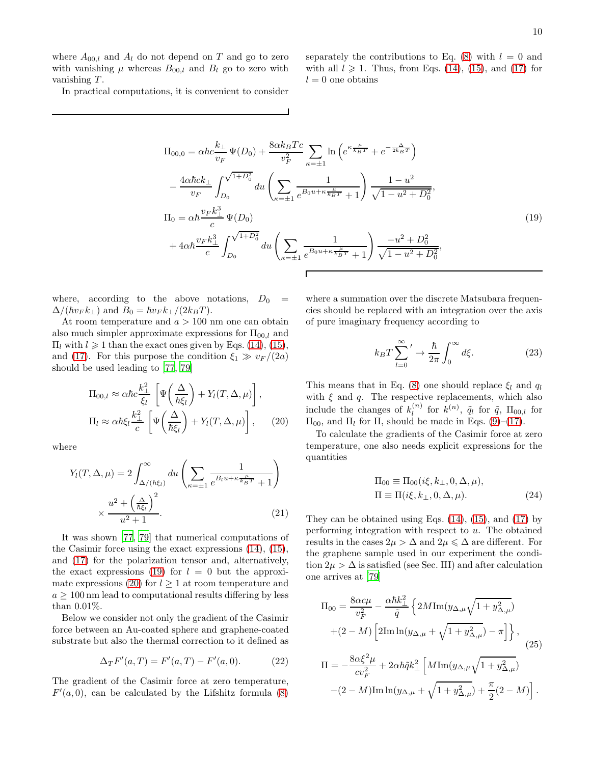where  $A_{00,l}$  and  $A_l$  do not depend on T and go to zero with vanishing  $\mu$  whereas  $B_{00,l}$  and  $B_l$  go to zero with vanishing T.

In practical computations, it is convenient to consider

separately the contributions to Eq.  $(8)$  with  $l = 0$  and with all  $l \geq 1$ . Thus, from Eqs. [\(14\)](#page-8-1), [\(15\)](#page-8-3), and [\(17\)](#page-8-2) for  $l = 0$  one obtains

<span id="page-9-0"></span>
$$
\Pi_{00,0} = \alpha \hbar c \frac{k_{\perp}}{v_F} \Psi(D_0) + \frac{8 \alpha k_B T c}{v_F^2} \sum_{\kappa=\pm 1} \ln \left( e^{\kappa \frac{\mu}{k_B T}} + e^{-\frac{\Delta}{2k_B T}} \right)
$$

$$
- \frac{4 \alpha \hbar c k_{\perp}}{v_F} \int_{D_0}^{\sqrt{1+D_0^2}} du \left( \sum_{\kappa=\pm 1} \frac{1}{e^{B_0 u + \kappa \frac{\mu}{k_B T}} + 1} \right) \frac{1 - u^2}{\sqrt{1 - u^2 + D_0^2}},
$$

$$
\Pi_0 = \alpha \hbar \frac{v_F k_{\perp}^3}{c} \Psi(D_0)
$$

$$
+ 4 \alpha \hbar \frac{v_F k_{\perp}^3}{c} \int_{D_0}^{\sqrt{1+D_0^2}} du \left( \sum_{\kappa=\pm 1} \frac{1}{e^{B_0 u + \kappa \frac{\mu}{k_B T}} + 1} \right) \frac{-u^2 + D_0^2}{\sqrt{1 - u^2 + D_0^2}},
$$
(19)

Г

where, according to the above notations,  $D_0 =$  $\Delta/(\hbar v_F k_\perp)$  and  $B_0 = \hbar v_F k_\perp/(2k_BT)$ .

At room temperature and  $a > 100$  nm one can obtain also much simpler approximate expressions for  $\Pi_{00,l}$  and  $\Pi_l$  with  $l \geq 1$  than the exact ones given by Eqs. [\(14\)](#page-8-1), [\(15\)](#page-8-3), and [\(17\)](#page-8-2). For this purpose the condition  $\xi_1 \gg v_F/(2a)$ should be used leading to [\[77](#page-17-15), [79](#page-18-22)]

<span id="page-9-1"></span>
$$
\Pi_{00,l} \approx \alpha \hbar c \frac{k_{\perp}^2}{\xi_l} \left[ \Psi \left( \frac{\Delta}{\hbar \xi_l} \right) + Y_l(T, \Delta, \mu) \right],
$$
  
\n
$$
\Pi_l \approx \alpha \hbar \xi_l \frac{k_{\perp}^2}{c} \left[ \Psi \left( \frac{\Delta}{\hbar \xi_l} \right) + Y_l(T, \Delta, \mu) \right],
$$
 (20)

where

$$
Y_l(T, \Delta, \mu) = 2 \int_{\Delta/(\hbar \xi_l)}^{\infty} du \left( \sum_{\kappa = \pm 1} \frac{1}{e^{B_l u + \kappa \frac{\mu}{k_B T}} + 1} \right)
$$
  
 
$$
\times \frac{u^2 + \left(\frac{\Delta}{\hbar \xi_l}\right)^2}{u^2 + 1}.
$$
 (21)

It was shown [\[77,](#page-17-15) [79](#page-18-22)] that numerical computations of the Casimir force using the exact expressions [\(14\)](#page-8-1), [\(15\)](#page-8-3), and [\(17\)](#page-8-2) for the polarization tensor and, alternatively, the exact expressions [\(19\)](#page-9-0) for  $l = 0$  but the approxi-mate expressions [\(20\)](#page-9-1) for  $l \geq 1$  at room temperature and  $a \geq 100$  nm lead to computational results differing by less than 0.01%.

Below we consider not only the gradient of the Casimir force between an Au-coated sphere and graphene-coated substrate but also the thermal correction to it defined as

<span id="page-9-2"></span>
$$
\Delta_T F'(a,T) = F'(a,T) - F'(a,0).
$$
 (22)

The gradient of the Casimir force at zero temperature,  $F'(a, 0)$ , can be calculated by the Lifshitz formula [\(8\)](#page-7-1)

where a summation over the discrete Matsubara frequencies should be replaced with an integration over the axis of pure imaginary frequency according to

<span id="page-9-3"></span>
$$
k_B T \sum_{l=0}^{\infty}{}' \to \frac{\hbar}{2\pi} \int_0^{\infty} d\xi.
$$
 (23)

This means that in Eq. [\(8\)](#page-7-1) one should replace  $\xi_l$  and  $q_l$ with  $\xi$  and  $q$ . The respective replacements, which also include the changes of  $k_l^{(n)}$  $\tilde{l}^{(n)}$  for  $k^{(n)}$ ,  $\tilde{q}_l$  for  $\tilde{q}$ ,  $\Pi_{00,l}$  for  $\Pi_{00}$ , and  $\Pi_l$  for  $\Pi$ , should be made in Eqs. [\(9\)](#page-8-4)–[\(17\)](#page-8-2).

To calculate the gradients of the Casimir force at zero temperature, one also needs explicit expressions for the quantities

$$
\Pi_{00} \equiv \Pi_{00}(i\xi, k_{\perp}, 0, \Delta, \mu),
$$
  
\n
$$
\Pi \equiv \Pi(i\xi, k_{\perp}, 0, \Delta, \mu).
$$
\n(24)

They can be obtained using Eqs.  $(14)$ ,  $(15)$ , and  $(17)$  by performing integration with respect to  $u$ . The obtained results in the cases  $2\mu > \Delta$  and  $2\mu \leq \Delta$  are different. For the graphene sample used in our experiment the condition  $2\mu > \Delta$  is satisfied (see Sec. III) and after calculation one arrives at [\[79\]](#page-18-22)

<span id="page-9-4"></span>
$$
\Pi_{00} = \frac{8\alpha c\mu}{v_F^2} - \frac{\alpha\hbar k_\perp^2}{\tilde{q}} \left\{ 2M \text{Im}(y_{\Delta,\mu}\sqrt{1+y_{\Delta,\mu}^2}) + (2-M) \left[ 2\text{Im}\ln(y_{\Delta,\mu} + \sqrt{1+y_{\Delta,\mu}^2}) - \pi \right] \right\},
$$
\n
$$
\Pi = -\frac{8\alpha \xi^2 \mu}{cv_F^2} + 2\alpha\hbar \tilde{q} k_\perp^2 \left[ M \text{Im}(y_{\Delta,\mu}\sqrt{1+y_{\Delta,\mu}^2}) - (2-M) \text{Im}\ln(y_{\Delta,\mu} + \sqrt{1+y_{\Delta,\mu}^2}) + \frac{\pi}{2}(2-M) \right].
$$
\n(25)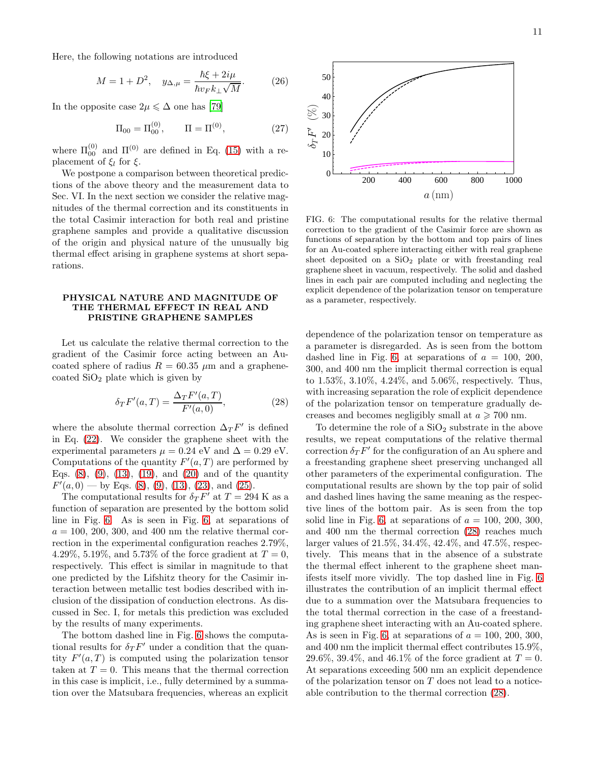Here, the following notations are introduced

$$
M = 1 + D^2
$$
,  $y_{\Delta,\mu} = \frac{\hbar \xi + 2i\mu}{\hbar v_F k_{\perp} \sqrt{M}}$ . (26)

In the opposite case  $2\mu \leq \Delta$  one has [\[79\]](#page-18-22)

<span id="page-10-2"></span>
$$
\Pi_{00} = \Pi_{00}^{(0)}, \qquad \Pi = \Pi^{(0)}, \tag{27}
$$

where  $\Pi_{00}^{(0)}$  and  $\Pi^{(0)}$  are defined in Eq. [\(15\)](#page-8-3) with a replacement of  $\xi_l$  for  $\xi$ .

We postpone a comparison between theoretical predictions of the above theory and the measurement data to Sec. VI. In the next section we consider the relative magnitudes of the thermal correction and its constituents in the total Casimir interaction for both real and pristine graphene samples and provide a qualitative discussion of the origin and physical nature of the unusually big thermal effect arising in graphene systems at short separations.

#### PHYSICAL NATURE AND MAGNITUDE OF THE THERMAL EFFECT IN REAL AND PRISTINE GRAPHENE SAMPLES

Let us calculate the relative thermal correction to the gradient of the Casimir force acting between an Aucoated sphere of radius  $R = 60.35 \mu m$  and a graphenecoated  $SiO<sub>2</sub>$  plate which is given by

<span id="page-10-1"></span>
$$
\delta_T F'(a,T) = \frac{\Delta_T F'(a,T)}{F'(a,0)},\tag{28}
$$

where the absolute thermal correction  $\Delta T F'$  is defined in Eq. [\(22\)](#page-9-2). We consider the graphene sheet with the experimental parameters  $\mu = 0.24$  eV and  $\Delta = 0.29$  eV. Computations of the quantity  $F'(a,T)$  are performed by Eqs.  $(8)$ ,  $(9)$ ,  $(13)$ ,  $(19)$ , and  $(20)$  and of the quantity  $F'(a, 0)$  — by Eqs. [\(8\)](#page-7-1), [\(9\)](#page-8-4), [\(13\)](#page-8-0), [\(23\)](#page-9-3), and [\(25\)](#page-9-4).

The computational results for  $\delta_T F'$  at  $T = 294$  K as a function of separation are presented by the bottom solid line in Fig. [6.](#page-10-0) As is seen in Fig. [6,](#page-10-0) at separations of  $a = 100, 200, 300,$  and 400 nm the relative thermal correction in the experimental configuration reaches 2.79%, 4.29%, 5.19%, and 5.73% of the force gradient at  $T = 0$ , respectively. This effect is similar in magnitude to that one predicted by the Lifshitz theory for the Casimir interaction between metallic test bodies described with inclusion of the dissipation of conduction electrons. As discussed in Sec. I, for metals this prediction was excluded by the results of many experiments.

The bottom dashed line in Fig. [6](#page-10-0) shows the computational results for  $\delta_T F'$  under a condition that the quantity  $F'(a,T)$  is computed using the polarization tensor taken at  $T = 0$ . This means that the thermal correction in this case is implicit, i.e., fully determined by a summation over the Matsubara frequencies, whereas an explicit



<span id="page-10-0"></span>FIG. 6: The computational results for the relative thermal correction to the gradient of the Casimir force are shown as functions of separation by the bottom and top pairs of lines for an Au-coated sphere interacting either with real graphene sheet deposited on a  $SiO<sub>2</sub>$  plate or with freestanding real graphene sheet in vacuum, respectively. The solid and dashed lines in each pair are computed including and neglecting the explicit dependence of the polarization tensor on temperature as a parameter, respectively.

dependence of the polarization tensor on temperature as a parameter is disregarded. As is seen from the bottom dashed line in Fig. [6,](#page-10-0) at separations of  $a = 100, 200,$ 300, and 400 nm the implicit thermal correction is equal to 1.53%, 3.10%, 4.24%, and 5.06%, respectively. Thus, with increasing separation the role of explicit dependence of the polarization tensor on temperature gradually decreases and becomes negligibly small at  $a \ge 700$  nm.

To determine the role of a  $SiO<sub>2</sub>$  substrate in the above results, we repeat computations of the relative thermal correction  $\delta_T F'$  for the configuration of an Au sphere and a freestanding graphene sheet preserving unchanged all other parameters of the experimental configuration. The computational results are shown by the top pair of solid and dashed lines having the same meaning as the respective lines of the bottom pair. As is seen from the top solid line in Fig. [6,](#page-10-0) at separations of  $a = 100, 200, 300,$ and 400 nm the thermal correction [\(28\)](#page-10-1) reaches much larger values of 21.5%, 34.4%, 42.4%, and 47.5%, respectively. This means that in the absence of a substrate the thermal effect inherent to the graphene sheet manifests itself more vividly. The top dashed line in Fig. [6](#page-10-0) illustrates the contribution of an implicit thermal effect due to a summation over the Matsubara frequencies to the total thermal correction in the case of a freestanding graphene sheet interacting with an Au-coated sphere. As is seen in Fig. [6,](#page-10-0) at separations of  $a = 100, 200, 300$ , and 400 nm the implicit thermal effect contributes 15.9%, 29.6%, 39.4%, and 46.1% of the force gradient at  $T = 0$ . At separations exceeding 500 nm an explicit dependence of the polarization tensor on T does not lead to a noticeable contribution to the thermal correction [\(28\)](#page-10-1).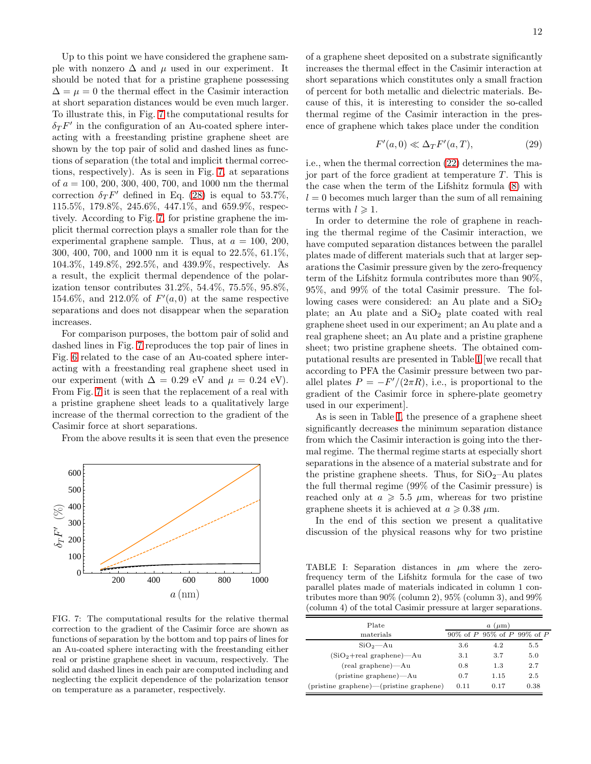Up to this point we have considered the graphene sample with nonzero  $\Delta$  and  $\mu$  used in our experiment. It should be noted that for a pristine graphene possessing  $\Delta = \mu = 0$  the thermal effect in the Casimir interaction at short separation distances would be even much larger. To illustrate this, in Fig. [7](#page-11-0) the computational results for  $\delta_T F'$  in the configuration of an Au-coated sphere interacting with a freestanding pristine graphene sheet are shown by the top pair of solid and dashed lines as functions of separation (the total and implicit thermal corrections, respectively). As is seen in Fig. [7,](#page-11-0) at separations of  $a = 100, 200, 300, 400, 700,$  and 1000 nm the thermal correction  $\delta_T F'$  defined in Eq. [\(28\)](#page-10-1) is equal to 53.7%, 115.5%, 179.8%, 245.6%, 447.1%, and 659.9%, respectively. According to Fig. [7,](#page-11-0) for pristine graphene the implicit thermal correction plays a smaller role than for the experimental graphene sample. Thus, at  $a = 100, 200$ , 300, 400, 700, and 1000 nm it is equal to 22.5%, 61.1%, 104.3%, 149.8%, 292.5%, and 439.9%, respectively. As a result, the explicit thermal dependence of the polarization tensor contributes 31.2%, 54.4%, 75.5%, 95.8%, 154.6%, and 212.0% of  $F'(a,0)$  at the same respective separations and does not disappear when the separation increases.

For comparison purposes, the bottom pair of solid and dashed lines in Fig. [7](#page-11-0) reproduces the top pair of lines in Fig. [6](#page-10-0) related to the case of an Au-coated sphere interacting with a freestanding real graphene sheet used in our experiment (with  $\Delta = 0.29$  eV and  $\mu = 0.24$  eV). From Fig. [7](#page-11-0) it is seen that the replacement of a real with a pristine graphene sheet leads to a qualitatively large increase of the thermal correction to the gradient of the Casimir force at short separations.

From the above results it is seen that even the presence



<span id="page-11-0"></span>FIG. 7: The computational results for the relative thermal correction to the gradient of the Casimir force are shown as functions of separation by the bottom and top pairs of lines for an Au-coated sphere interacting with the freestanding either real or pristine graphene sheet in vacuum, respectively. The solid and dashed lines in each pair are computed including and neglecting the explicit dependence of the polarization tensor on temperature as a parameter, respectively.

of a graphene sheet deposited on a substrate significantly increases the thermal effect in the Casimir interaction at short separations which constitutes only a small fraction of percent for both metallic and dielectric materials. Because of this, it is interesting to consider the so-called thermal regime of the Casimir interaction in the presence of graphene which takes place under the condition

$$
F'(a,0) \ll \Delta_T F'(a,T),\tag{29}
$$

i.e., when the thermal correction [\(22\)](#page-9-2) determines the major part of the force gradient at temperature  $T$ . This is the case when the term of the Lifshitz formula [\(8\)](#page-7-1) with  $l = 0$  becomes much larger than the sum of all remaining terms with  $l \geqslant 1$ .

In order to determine the role of graphene in reaching the thermal regime of the Casimir interaction, we have computed separation distances between the parallel plates made of different materials such that at larger separations the Casimir pressure given by the zero-frequency term of the Lifshitz formula contributes more than 90%, 95%, and 99% of the total Casimir pressure. The following cases were considered: an Au plate and a  $SiO<sub>2</sub>$ plate; an Au plate and a  $SiO<sub>2</sub>$  plate coated with real graphene sheet used in our experiment; an Au plate and a real graphene sheet; an Au plate and a pristine graphene sheet; two pristine graphene sheets. The obtained computational results are presented in Table [I](#page-11-1) [we recall that according to PFA the Casimir pressure between two parallel plates  $P = -F'/(2\pi R)$ , i.e., is proportional to the gradient of the Casimir force in sphere-plate geometry used in our experiment].

As is seen in Table [I,](#page-11-1) the presence of a graphene sheet significantly decreases the minimum separation distance from which the Casimir interaction is going into the thermal regime. The thermal regime starts at especially short separations in the absence of a material substrate and for the pristine graphene sheets. Thus, for  $SiO_2$ -Au plates the full thermal regime (99% of the Casimir pressure) is reached only at  $a \geq 5.5 \mu m$ , whereas for two pristine graphene sheets it is achieved at  $a \geq 0.38 \mu$ m.

In the end of this section we present a qualitative discussion of the physical reasons why for two pristine

<span id="page-11-1"></span>TABLE I: Separation distances in  $\mu$ m where the zerofrequency term of the Lifshitz formula for the case of two parallel plates made of materials indicated in column 1 contributes more than 90% (column 2), 95% (column 3), and 99% (column 4) of the total Casimir pressure at larger separations.

| Plate                                   |      | $a \ (\mu m)$                 |      |
|-----------------------------------------|------|-------------------------------|------|
| materials                               |      | 90\% of P 95\% of P 99\% of P |      |
| $SiO2$ -Au                              | 3.6  | 4.2                           | 5.5  |
| $(SiO2+real graphene)$ —Au              | 3.1  | 3.7                           | 5.0  |
| (real graphene)—Au                      | 0.8  | 1.3                           | 2.7  |
| $(pristine graphene)$ —Au               | 0.7  | 1.15                          | 2.5  |
| (pristine graphene)—(pristine graphene) | 0.11 | 0.17                          | 0.38 |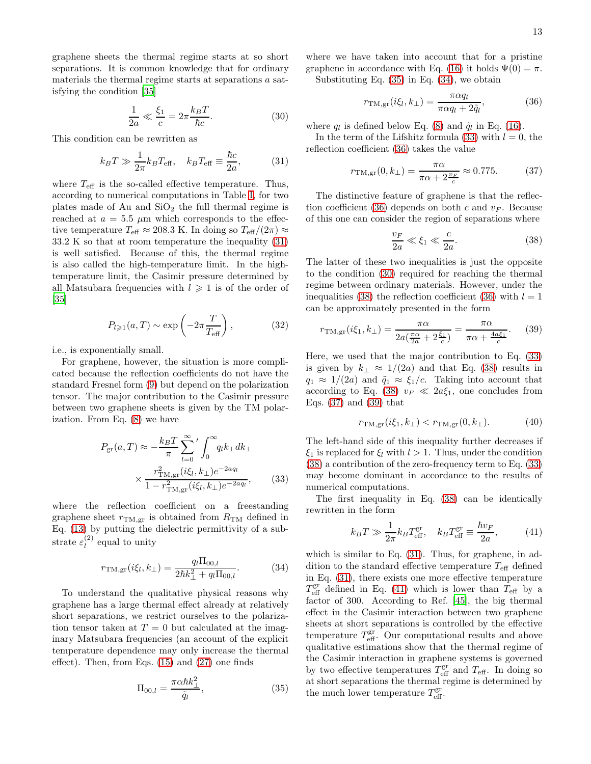graphene sheets the thermal regime starts at so short separations. It is common knowledge that for ordinary materials the thermal regime starts at separations a satisfying the condition [\[35](#page-16-13)]

<span id="page-12-5"></span>
$$
\frac{1}{2a} \ll \frac{\xi_1}{c} = 2\pi \frac{k_B T}{\hbar c}.
$$
 (30)

This condition can be rewritten as

<span id="page-12-0"></span>
$$
k_B T \gg \frac{1}{2\pi} k_B T_{\text{eff}}, \quad k_B T_{\text{eff}} \equiv \frac{\hbar c}{2a}, \tag{31}
$$

where  $T_{\text{eff}}$  is the so-called effective temperature. Thus, according to numerical computations in Table [I,](#page-11-1) for two plates made of Au and  $SiO<sub>2</sub>$  the full thermal regime is reached at  $a = 5.5 \mu m$  which corresponds to the effective temperature  $T_{\text{eff}} \approx 208.3 \text{ K}$ . In doing so  $T_{\text{eff}}/(2\pi) \approx$ 33.2 K so that at room temperature the inequality [\(31\)](#page-12-0) is well satisfied. Because of this, the thermal regime is also called the high-temperature limit. In the hightemperature limit, the Casimir pressure determined by all Matsubara frequencies with  $l \geq 1$  is of the order of [\[35\]](#page-16-13)

$$
P_{l\geqslant 1}(a,T) \sim \exp\left(-2\pi \frac{T}{T_{\text{eff}}}\right),\tag{32}
$$

i.e., is exponentially small.

For graphene, however, the situation is more complicated because the reflection coefficients do not have the standard Fresnel form [\(9\)](#page-8-4) but depend on the polarization tensor. The major contribution to the Casimir pressure between two graphene sheets is given by the TM polarization. From Eq. [\(8\)](#page-7-1) we have

<span id="page-12-3"></span>
$$
P_{\rm gr}(a,T) \approx -\frac{k_B T}{\pi} \sum_{l=0}^{\infty} \Big/ \int_0^{\infty} q_l k_{\perp} dk_{\perp}
$$

$$
\times \frac{r_{\rm TM,gr}^2(i\xi_l, k_{\perp})e^{-2aq_l}}{1 - r_{\rm TM,gr}^2(i\xi_l, k_{\perp})e^{-2aq_l}}, \qquad (33)
$$

where the reflection coefficient on a freestanding graphene sheet  $r_{TM,gr}$  is obtained from  $R_{TM}$  defined in Eq. [\(13\)](#page-8-0) by putting the dielectric permittivity of a substrate  $\varepsilon_l^{(2)}$  $\binom{2}{l}$  equal to unity

<span id="page-12-2"></span>
$$
r_{\rm TM,gr}(i\xi_l, k_{\perp}) = \frac{q_l \Pi_{00,l}}{2\hbar k_{\perp}^2 + q_l \Pi_{00,l}}.
$$
 (34)

To understand the qualitative physical reasons why graphene has a large thermal effect already at relatively short separations, we restrict ourselves to the polarization tensor taken at  $T = 0$  but calculated at the imaginary Matsubara frequencies (an account of the explicit temperature dependence may only increase the thermal effect). Then, from Eqs. [\(15\)](#page-8-3) and [\(27\)](#page-10-2) one finds

<span id="page-12-1"></span>
$$
\Pi_{00,l} = \frac{\pi \alpha \hbar k_{\perp}^2}{\tilde{q}_l},\tag{35}
$$

where we have taken into account that for a pristine graphene in accordance with Eq. [\(16\)](#page-8-5) it holds  $\Psi(0) = \pi$ .

Substituting Eq. [\(35\)](#page-12-1) in Eq. [\(34\)](#page-12-2), we obtain

<span id="page-12-4"></span>
$$
r_{\text{TM,gr}}(i\xi_l, k_\perp) = \frac{\pi \alpha q_l}{\pi \alpha q_l + 2\tilde{q}_l},\tag{36}
$$

where  $q_l$  is defined below Eq. [\(8\)](#page-7-1) and  $\tilde{q}_l$  in Eq. [\(16\)](#page-8-5).

In the term of the Lifshitz formula [\(33\)](#page-12-3) with  $l = 0$ , the reflection coefficient [\(36\)](#page-12-4) takes the value

<span id="page-12-7"></span>
$$
r_{\rm TM,gr}(0, k_{\perp}) = \frac{\pi \alpha}{\pi \alpha + 2\frac{v_F}{c}} \approx 0.775. \tag{37}
$$

The distinctive feature of graphene is that the reflec-tion coefficient [\(36\)](#page-12-4) depends on both c and  $v_F$ . Because of this one can consider the region of separations where

<span id="page-12-6"></span>
$$
\frac{v_F}{2a} \ll \xi_1 \ll \frac{c}{2a}.\tag{38}
$$

The latter of these two inequalities is just the opposite to the condition [\(30\)](#page-12-5) required for reaching the thermal regime between ordinary materials. However, under the inequalities [\(38\)](#page-12-6) the reflection coefficient [\(36\)](#page-12-4) with  $l = 1$ can be approximately presented in the form

<span id="page-12-8"></span>
$$
r_{\rm TM,gr}(i\xi_1, k_{\perp}) = \frac{\pi \alpha}{2a(\frac{\pi \alpha}{2a} + 2\frac{\xi_1}{c})} = \frac{\pi \alpha}{\pi \alpha + \frac{4a\xi_1}{c}}.
$$
 (39)

Here, we used that the major contribution to Eq. [\(33\)](#page-12-3) is given by  $k_{\perp} \approx 1/(2a)$  and that Eq. [\(38\)](#page-12-6) results in  $q_1 \approx 1/(2a)$  and  $\tilde{q}_1 \approx \xi_1/c$ . Taking into account that according to Eq. [\(38\)](#page-12-6)  $v_F \ll 2a\xi_1$ , one concludes from Eqs. [\(37\)](#page-12-7) and [\(39\)](#page-12-8) that

$$
r_{\rm TM,gr}(i\xi_1, k_\perp) < r_{\rm TM,gr}(0, k_\perp). \tag{40}
$$

The left-hand side of this inequality further decreases if  $\xi_1$  is replaced for  $\xi_l$  with  $l > 1$ . Thus, under the condition [\(38\)](#page-12-6) a contribution of the zero-frequency term to Eq. [\(33\)](#page-12-3) may become dominant in accordance to the results of numerical computations.

The first inequality in Eq. [\(38\)](#page-12-6) can be identically rewritten in the form

<span id="page-12-9"></span>
$$
k_B T \gg \frac{1}{2\pi} k_B T_{\text{eff}}^{\text{gr}}, \quad k_B T_{\text{eff}}^{\text{gr}} \equiv \frac{\hbar v_F}{2a},\tag{41}
$$

which is similar to Eq. [\(31\)](#page-12-0). Thus, for graphene, in addition to the standard effective temperature  $T_{\text{eff}}$  defined in Eq. [\(31\)](#page-12-0), there exists one more effective temperature  $T_{\text{eff}}^{\text{gr}}$  defined in Eq. [\(41\)](#page-12-9) which is lower than  $T_{\text{eff}}$  by a factor of 300. According to Ref. [\[45\]](#page-17-6), the big thermal effect in the Casimir interaction between two graphene sheets at short separations is controlled by the effective temperature  $T_{\text{eff}}^{\text{gr}}$ . Our computational results and above qualitative estimations show that the thermal regime of the Casimir interaction in graphene systems is governed by two effective temperatures  $T_{\text{eff}}^{\text{gr}}$  and  $T_{\text{eff}}$ . In doing so at short separations the thermal regime is determined by the much lower temperature  $T_{\text{eff}}^{\text{gr}}$ .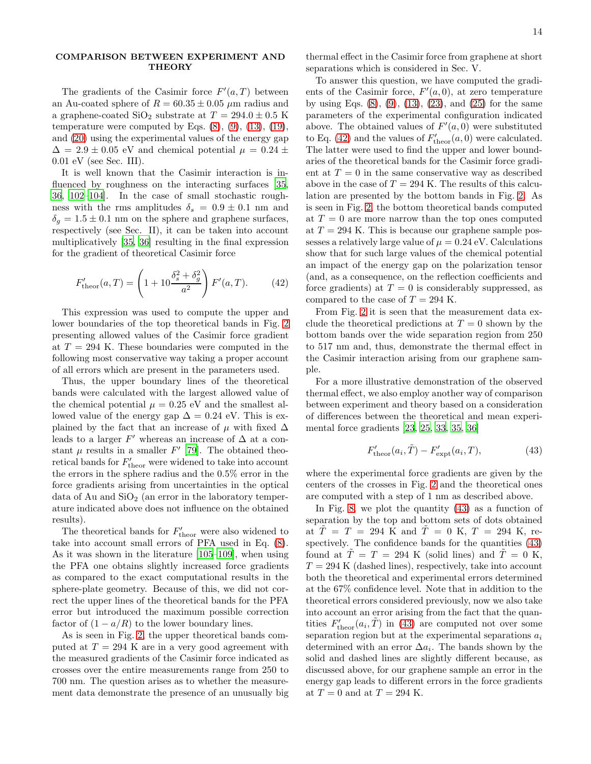## COMPARISON BETWEEN EXPERIMENT AND **THEORY**

The gradients of the Casimir force  $F'(a,T)$  between an Au-coated sphere of  $R = 60.35 \pm 0.05 \ \mu \text{m}$  radius and a graphene-coated  $\text{SiO}_2$  substrate at  $T = 294.0 \pm 0.5 \text{ K}$ temperature were computed by Eqs.  $(8)$ ,  $(9)$ ,  $(13)$ ,  $(19)$ , and [\(20\)](#page-9-1) using the experimental values of the energy gap  $\Delta = 2.9 \pm 0.05$  eV and chemical potential  $\mu = 0.24 \pm 0.05$ 0.01 eV (see Sec. III).

It is well known that the Casimir interaction is in-fluenced by roughness on the interacting surfaces [\[35](#page-16-13), [36,](#page-16-14) [102](#page-18-23)[–104](#page-18-24)]. In the case of small stochastic roughness with the rms amplitudes  $\delta_s = 0.9 \pm 0.1$  nm and  $\delta_q = 1.5 \pm 0.1$  nm on the sphere and graphene surfaces, respectively (see Sec. II), it can be taken into account multiplicatively [\[35,](#page-16-13) [36\]](#page-16-14) resulting in the final expression for the gradient of theoretical Casimir force

<span id="page-13-0"></span>
$$
F'_{\text{theor}}(a,T) = \left(1 + 10 \frac{\delta_s^2 + \delta_g^2}{a^2}\right) F'(a,T). \tag{42}
$$

This expression was used to compute the upper and lower boundaries of the top theoretical bands in Fig. [2](#page-5-0) presenting allowed values of the Casimir force gradient at  $T = 294$  K. These boundaries were computed in the following most conservative way taking a proper account of all errors which are present in the parameters used.

Thus, the upper boundary lines of the theoretical bands were calculated with the largest allowed value of the chemical potential  $\mu = 0.25$  eV and the smallest allowed value of the energy gap  $\Delta = 0.24$  eV. This is explained by the fact that an increase of  $\mu$  with fixed  $\Delta$ leads to a larger  $F'$  whereas an increase of  $\Delta$  at a constant  $\mu$  results in a smaller  $F'$  [\[79\]](#page-18-22). The obtained theoretical bands for  $F'_{\text{theor}}$  were widened to take into account the errors in the sphere radius and the 0.5% error in the force gradients arising from uncertainties in the optical data of Au and  $SiO<sub>2</sub>$  (an error in the laboratory temperature indicated above does not influence on the obtained results).

The theoretical bands for  $F'_{\text{theor}}$  were also widened to take into account small errors of PFA used in Eq. [\(8\)](#page-7-1). As it was shown in the literature [\[105](#page-18-25)[–109\]](#page-18-26), when using the PFA one obtains slightly increased force gradients as compared to the exact computational results in the sphere-plate geometry. Because of this, we did not correct the upper lines of the theoretical bands for the PFA error but introduced the maximum possible correction factor of  $(1 - a/R)$  to the lower boundary lines.

As is seen in Fig. [2,](#page-5-0) the upper theoretical bands computed at  $T = 294$  K are in a very good agreement with the measured gradients of the Casimir force indicated as crosses over the entire measurements range from 250 to 700 nm. The question arises as to whether the measurement data demonstrate the presence of an unusually big

thermal effect in the Casimir force from graphene at short separations which is considered in Sec. V.

To answer this question, we have computed the gradients of the Casimir force,  $F'(a, 0)$ , at zero temperature by using Eqs.  $(8)$ ,  $(9)$ ,  $(13)$ ,  $(23)$ , and  $(25)$  for the same parameters of the experimental configuration indicated above. The obtained values of  $F'(a, 0)$  were substituted to Eq. [\(42\)](#page-13-0) and the values of  $F'_{\text{theor}}(a, 0)$  were calculated. The latter were used to find the upper and lower boundaries of the theoretical bands for the Casimir force gradient at  $T = 0$  in the same conservative way as described above in the case of  $T = 294$  K. The results of this calculation are presented by the bottom bands in Fig. [2.](#page-5-0) As is seen in Fig. [2,](#page-5-0) the bottom theoretical bands computed at  $T = 0$  are more narrow than the top ones computed at  $T = 294$  K. This is because our graphene sample possesses a relatively large value of  $\mu = 0.24$  eV. Calculations show that for such large values of the chemical potential an impact of the energy gap on the polarization tensor (and, as a consequence, on the reflection coefficients and force gradients) at  $T = 0$  is considerably suppressed, as compared to the case of  $T = 294$  K.

From Fig. [2](#page-5-0) it is seen that the measurement data exclude the theoretical predictions at  $T = 0$  shown by the bottom bands over the wide separation region from 250 to 517 nm and, thus, demonstrate the thermal effect in the Casimir interaction arising from our graphene sample.

For a more illustrative demonstration of the observed thermal effect, we also employ another way of comparison between experiment and theory based on a consideration of differences between the theoretical and mean experimental force gradients [\[23,](#page-16-26) [25,](#page-16-27) [33,](#page-16-23) [35,](#page-16-13) [36\]](#page-16-14)

<span id="page-13-1"></span>
$$
F'_{\text{theor}}(a_i, \tilde{T}) - F'_{\text{expt}}(a_i, T), \tag{43}
$$

where the experimental force gradients are given by the centers of the crosses in Fig. [2](#page-5-0) and the theoretical ones are computed with a step of 1 nm as described above.

In Fig. [8,](#page-14-0) we plot the quantity [\(43\)](#page-13-1) as a function of separation by the top and bottom sets of dots obtained at  $\tilde{T} = T = 294$  K and  $\tilde{T} = 0$  K,  $T = 294$  K, respectively. The confidence bands for the quantities  $(43)$ found at  $T = T = 294$  K (solid lines) and  $\tilde{T} = 0$  K,  $T = 294$  K (dashed lines), respectively, take into account both the theoretical and experimental errors determined at the 67% confidence level. Note that in addition to the theoretical errors considered previously, now we also take into account an error arising from the fact that the quantities  $F'_{\text{theor}}(a_i, \tilde{T})$  in [\(43\)](#page-13-1) are computed not over some separation region but at the experimental separations  $a_i$ determined with an error  $\Delta a_i$ . The bands shown by the solid and dashed lines are slightly different because, as discussed above, for our graphene sample an error in the energy gap leads to different errors in the force gradients at  $T = 0$  and at  $T = 294$  K.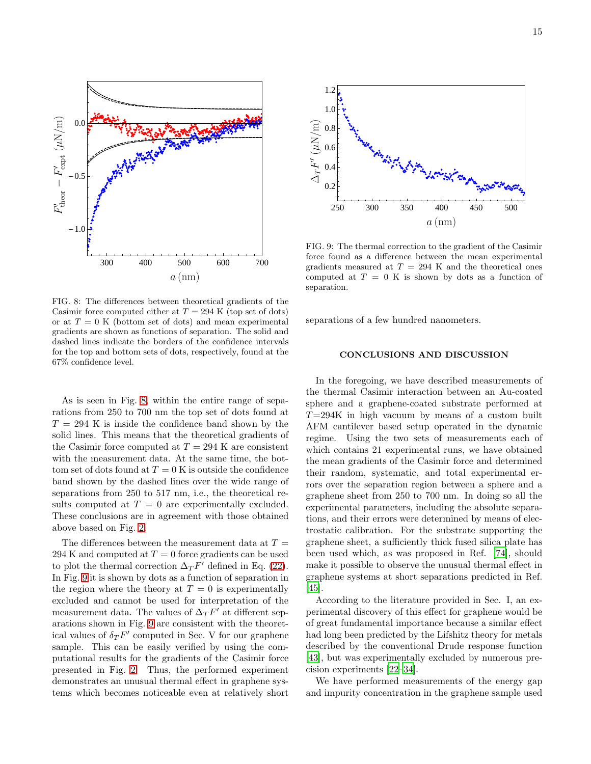

<span id="page-14-0"></span>FIG. 8: The differences between theoretical gradients of the Casimir force computed either at  $T = 294$  K (top set of dots) or at  $T = 0$  K (bottom set of dots) and mean experimental gradients are shown as functions of separation. The solid and dashed lines indicate the borders of the confidence intervals for the top and bottom sets of dots, respectively, found at the 67% confidence level.

As is seen in Fig. [8,](#page-14-0) within the entire range of separations from 250 to 700 nm the top set of dots found at  $T = 294$  K is inside the confidence band shown by the solid lines. This means that the theoretical gradients of the Casimir force computed at  $T = 294$  K are consistent with the measurement data. At the same time, the bottom set of dots found at  $T = 0$  K is outside the confidence band shown by the dashed lines over the wide range of separations from 250 to 517 nm, i.e., the theoretical results computed at  $T = 0$  are experimentally excluded. These conclusions are in agreement with those obtained above based on Fig. [2.](#page-5-0)

The differences between the measurement data at  $T =$ 294 K and computed at  $T = 0$  force gradients can be used to plot the thermal correction  $\Delta T^{F'}$  defined in Eq. [\(22\)](#page-9-2). In Fig. [9](#page-14-1) it is shown by dots as a function of separation in the region where the theory at  $T = 0$  is experimentally excluded and cannot be used for interpretation of the measurement data. The values of  $\Delta T F'$  at different separations shown in Fig. [9](#page-14-1) are consistent with the theoretical values of  $\delta_T F'$  computed in Sec. V for our graphene sample. This can be easily verified by using the computational results for the gradients of the Casimir force presented in Fig. [2.](#page-5-0) Thus, the performed experiment demonstrates an unusual thermal effect in graphene systems which becomes noticeable even at relatively short



<span id="page-14-1"></span>FIG. 9: The thermal correction to the gradient of the Casimir force found as a difference between the mean experimental gradients measured at  $T = 294$  K and the theoretical ones computed at  $T = 0$  K is shown by dots as a function of separation.

separations of a few hundred nanometers.

# CONCLUSIONS AND DISCUSSION

In the foregoing, we have described measurements of the thermal Casimir interaction between an Au-coated sphere and a graphene-coated substrate performed at  $T=294K$  in high vacuum by means of a custom built AFM cantilever based setup operated in the dynamic regime. Using the two sets of measurements each of which contains 21 experimental runs, we have obtained the mean gradients of the Casimir force and determined their random, systematic, and total experimental errors over the separation region between a sphere and a graphene sheet from 250 to 700 nm. In doing so all the experimental parameters, including the absolute separations, and their errors were determined by means of electrostatic calibration. For the substrate supporting the graphene sheet, a sufficiently thick fused silica plate has been used which, as was proposed in Ref. [\[74\]](#page-17-16), should make it possible to observe the unusual thermal effect in graphene systems at short separations predicted in Ref. [\[45\]](#page-17-6).

According to the literature provided in Sec. I, an experimental discovery of this effect for graphene would be of great fundamental importance because a similar effect had long been predicted by the Lifshitz theory for metals described by the conventional Drude response function [\[43\]](#page-17-3), but was experimentally excluded by numerous precision experiments [\[22](#page-16-11)[–34](#page-16-12)].

We have performed measurements of the energy gap and impurity concentration in the graphene sample used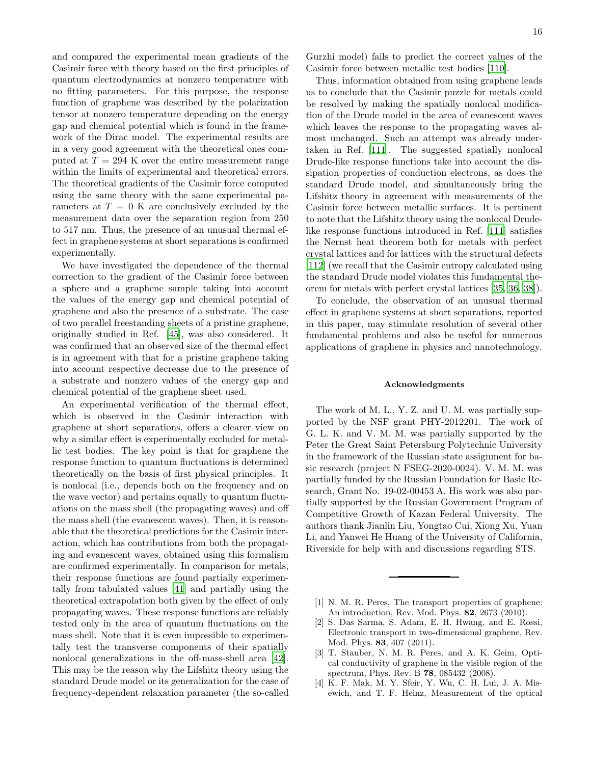and compared the experimental mean gradients of the Casimir force with theory based on the first principles of quantum electrodynamics at nonzero temperature with no fitting parameters. For this purpose, the response function of graphene was described by the polarization tensor at nonzero temperature depending on the energy gap and chemical potential which is found in the framework of the Dirac model. The experimental results are in a very good agreement with the theoretical ones computed at  $T = 294$  K over the entire measurement range within the limits of experimental and theoretical errors. The theoretical gradients of the Casimir force computed using the same theory with the same experimental parameters at  $T = 0$  K are conclusively excluded by the measurement data over the separation region from 250 to 517 nm. Thus, the presence of an unusual thermal effect in graphene systems at short separations is confirmed experimentally.

We have investigated the dependence of the thermal correction to the gradient of the Casimir force between a sphere and a graphene sample taking into account the values of the energy gap and chemical potential of graphene and also the presence of a substrate. The case of two parallel freestanding sheets of a pristine graphene, originally studied in Ref. [\[45](#page-17-6)], was also considered. It was confirmed that an observed size of the thermal effect is in agreement with that for a pristine graphene taking into account respective decrease due to the presence of a substrate and nonzero values of the energy gap and chemical potential of the graphene sheet used.

An experimental verification of the thermal effect, which is observed in the Casimir interaction with graphene at short separations, offers a clearer view on why a similar effect is experimentally excluded for metallic test bodies. The key point is that for graphene the response function to quantum fluctuations is determined theoretically on the basis of first physical principles. It is nonlocal (i.e., depends both on the frequency and on the wave vector) and pertains equally to quantum fluctuations on the mass shell (the propagating waves) and off the mass shell (the evanescent waves). Then, it is reasonable that the theoretical predictions for the Casimir interaction, which has contributions from both the propagating and evanescent waves, obtained using this formalism are confirmed experimentally. In comparison for metals, their response functions are found partially experimentally from tabulated values [\[41\]](#page-17-1) and partially using the theoretical extrapolation both given by the effect of only propagating waves. These response functions are reliably tested only in the area of quantum fluctuations on the mass shell. Note that it is even impossible to experimentally test the transverse components of their spatially nonlocal generalizations in the off-mass-shell area [\[42\]](#page-17-2). This may be the reason why the Lifshitz theory using the standard Drude model or its generalization for the case of frequency-dependent relaxation parameter (the so-called Gurzhi model) fails to predict the correct values of the Casimir force between metallic test bodies [\[110\]](#page-18-27).

Thus, information obtained from using graphene leads us to conclude that the Casimir puzzle for metals could be resolved by making the spatially nonlocal modification of the Drude model in the area of evanescent waves which leaves the response to the propagating waves almost unchanged. Such an attempt was already undertaken in Ref. [\[111\]](#page-18-28). The suggested spatially nonlocal Drude-like response functions take into account the dissipation properties of conduction electrons, as does the standard Drude model, and simultaneously bring the Lifshitz theory in agreement with measurements of the Casimir force between metallic surfaces. It is pertinent to note that the Lifshitz theory using the nonlocal Drudelike response functions introduced in Ref. [\[111\]](#page-18-28) satisfies the Nernst heat theorem both for metals with perfect crystal lattices and for lattices with the structural defects [\[112\]](#page-18-29) (we recall that the Casimir entropy calculated using the standard Drude model violates this fundamental theorem for metals with perfect crystal lattices [\[35,](#page-16-13) [36,](#page-16-14) [38\]](#page-16-15)).

To conclude, the observation of an unusual thermal effect in graphene systems at short separations, reported in this paper, may stimulate resolution of several other fundamental problems and also be useful for numerous applications of graphene in physics and nanotechnology.

#### Acknowledgments

The work of M. L., Y. Z. and U. M. was partially supported by the NSF grant PHY-2012201. The work of G. L. K. and V. M. M. was partially supported by the Peter the Great Saint Petersburg Polytechnic University in the framework of the Russian state assignment for basic research (project N FSEG-2020-0024). V. M. M. was partially funded by the Russian Foundation for Basic Research, Grant No. 19-02-00453 A. His work was also partially supported by the Russian Government Program of Competitive Growth of Kazan Federal University. The authors thank Jianlin Liu, Yongtao Cui, Xiong Xu, Yuan Li, and Yanwei He Huang of the University of California, Riverside for help with and discussions regarding STS.

- <span id="page-15-0"></span>[1] N. M. R. Peres, The transport properties of graphene: An introduction, Rev. Mod. Phys. 82, 2673 (2010).
- [2] S. Das Sarma, S. Adam, E. H. Hwang, and E. Rossi, Electronic transport in two-dimensional graphene, Rev. Mod. Phys. 83, 407 (2011).
- [3] T. Stauber, N. M. R. Peres, and A. K. Geim, Optical conductivity of graphene in the visible region of the spectrum, Phys. Rev. B 78, 085432 (2008).
- <span id="page-15-1"></span>[4] K. F. Mak, M. Y. Sfeir, Y. Wu, C. H. Lui, J. A. Misewich, and T. F. Heinz, Measurement of the optical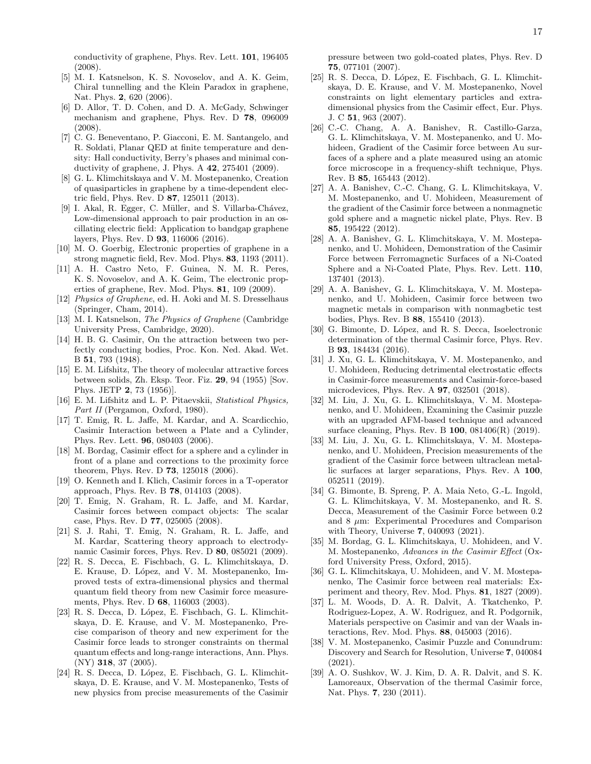conductivity of graphene, Phys. Rev. Lett. 101, 196405 (2008).

- <span id="page-16-0"></span>[5] M. I. Katsnelson, K. S. Novoselov, and A. K. Geim, Chiral tunnelling and the Klein Paradox in graphene, Nat. Phys. 2, 620 (2006).
- <span id="page-16-1"></span>[6] D. Allor, T. D. Cohen, and D. A. McGady, Schwinger mechanism and graphene, Phys. Rev. D 78, 096009 (2008).
- [7] C. G. Beneventano, P. Giacconi, E. M. Santangelo, and R. Soldati, Planar QED at finite temperature and density: Hall conductivity, Berry's phases and minimal conductivity of graphene, J. Phys. A 42, 275401 (2009).
- [8] G. L. Klimchitskaya and V. M. Mostepanenko, Creation of quasiparticles in graphene by a time-dependent electric field, Phys. Rev. D 87, 125011 (2013).
- <span id="page-16-2"></span>[9] I. Akal, R. Egger, C. Müller, and S. Villarba-Chávez, Low-dimensional approach to pair production in an oscillating electric field: Application to bandgap graphene layers, Phys. Rev. D 93, 116006 (2016).
- <span id="page-16-3"></span>[10] M. O. Goerbig, Electronic properties of graphene in a strong magnetic field, Rev. Mod. Phys. 83, 1193 (2011).
- <span id="page-16-4"></span>[11] A. H. Castro Neto, F. Guinea, N. M. R. Peres, K. S. Novoselov, and A. K. Geim, The electronic properties of graphene, Rev. Mod. Phys. 81, 109 (2009).
- <span id="page-16-20"></span>[12] Physics of Graphene, ed. H. Aoki and M. S. Dresselhaus (Springer, Cham, 2014).
- <span id="page-16-5"></span>[13] M. I. Katsnelson, The Physics of Graphene (Cambridge University Press, Cambridge, 2020).
- <span id="page-16-6"></span>[14] H. B. G. Casimir, On the attraction between two perfectly conducting bodies, Proc. Kon. Ned. Akad. Wet. B 51, 793 (1948).
- <span id="page-16-7"></span>[15] E. M. Lifshitz, The theory of molecular attractive forces between solids, Zh. Eksp. Teor. Fiz. 29, 94 (1955) [Sov. Phys. JETP 2, 73 (1956)].
- <span id="page-16-8"></span>[16] E. M. Lifshitz and L. P. Pitaevskii, *Statistical Physics*, Part II (Pergamon, Oxford, 1980).
- <span id="page-16-9"></span>[17] T. Emig, R. L. Jaffe, M. Kardar, and A. Scardicchio, Casimir Interaction between a Plate and a Cylinder, Phys. Rev. Lett. 96, 080403 (2006).
- [18] M. Bordag, Casimir effect for a sphere and a cylinder in front of a plane and corrections to the proximity force theorem, Phys. Rev. D **73**, 125018 (2006).
- [19] O. Kenneth and I. Klich, Casimir forces in a T-operator approach, Phys. Rev. B 78, 014103 (2008).
- [20] T. Emig, N. Graham, R. L. Jaffe, and M. Kardar, Casimir forces between compact objects: The scalar case, Phys. Rev. D 77, 025005 (2008).
- <span id="page-16-10"></span>[21] S. J. Rahi, T. Emig, N. Graham, R. L. Jaffe, and M. Kardar, Scattering theory approach to electrodynamic Casimir forces, Phys. Rev. D 80, 085021 (2009).
- <span id="page-16-11"></span>[22] R. S. Decca, E. Fischbach, G. L. Klimchitskaya, D. E. Krause, D. López, and V. M. Mostepanenko, Improved tests of extra-dimensional physics and thermal quantum field theory from new Casimir force measurements, Phys. Rev. D 68, 116003 (2003).
- <span id="page-16-26"></span>[23] R. S. Decca, D. López, E. Fischbach, G. L. Klimchitskaya, D. E. Krause, and V. M. Mostepanenko, Precise comparison of theory and new experiment for the Casimir force leads to stronger constraints on thermal quantum effects and long-range interactions, Ann. Phys. (NY) 318, 37 (2005).
- [24] R. S. Decca, D. López, E. Fischbach, G. L. Klimchitskaya, D. E. Krause, and V. M. Mostepanenko, Tests of new physics from precise measurements of the Casimir

pressure between two gold-coated plates, Phys. Rev. D 75, 077101 (2007).

- <span id="page-16-27"></span>[25] R. S. Decca, D. López, E. Fischbach, G. L. Klimchitskaya, D. E. Krause, and V. M. Mostepanenko, Novel constraints on light elementary particles and extradimensional physics from the Casimir effect, Eur. Phys. J. C 51, 963 (2007).
- <span id="page-16-21"></span>[26] C.-C. Chang, A. A. Banishev, R. Castillo-Garza, G. L. Klimchitskaya, V. M. Mostepanenko, and U. Mohideen, Gradient of the Casimir force between Au surfaces of a sphere and a plate measured using an atomic force microscope in a frequency-shift technique, Phys. Rev. B 85, 165443 (2012).
- <span id="page-16-17"></span>[27] A. A. Banishev, C.-C. Chang, G. L. Klimchitskaya, V. M. Mostepanenko, and U. Mohideen, Measurement of the gradient of the Casimir force between a nonmagnetic gold sphere and a magnetic nickel plate, Phys. Rev. B 85, 195422 (2012).
- [28] A. A. Banishev, G. L. Klimchitskaya, V. M. Mostepanenko, and U. Mohideen, Demonstration of the Casimir Force between Ferromagnetic Surfaces of a Ni-Coated Sphere and a Ni-Coated Plate, Phys. Rev. Lett. 110, 137401 (2013).
- <span id="page-16-18"></span>[29] A. A. Banishev, G. L. Klimchitskaya, V. M. Mostepanenko, and U. Mohideen, Casimir force between two magnetic metals in comparison with nonmagbetic test bodies, Phys. Rev. B 88, 155410 (2013).
- <span id="page-16-19"></span>[30] G. Bimonte, D. López, and R. S. Decca, Isoelectronic determination of the thermal Casimir force, Phys. Rev. B 93, 184434 (2016).
- <span id="page-16-22"></span>[31] J. Xu, G. L. Klimchitskaya, V. M. Mostepanenko, and U. Mohideen, Reducing detrimental electrostatic effects in Casimir-force measurements and Casimir-force-based microdevices, Phys. Rev. A 97, 032501 (2018).
- <span id="page-16-24"></span>[32] M. Liu, J. Xu, G. L. Klimchitskaya, V. M. Mostepanenko, and U. Mohideen, Examining the Casimir puzzle with an upgraded AFM-based technique and advanced surface cleaning, Phys. Rev. B 100, 081406(R) (2019).
- <span id="page-16-23"></span>[33] M. Liu, J. Xu, G. L. Klimchitskaya, V. M. Mostepanenko, and U. Mohideen, Precision measurements of the gradient of the Casimir force between ultraclean metallic surfaces at larger separations, Phys. Rev. A 100, 052511 (2019).
- <span id="page-16-12"></span>[34] G. Bimonte, B. Spreng, P. A. Maia Neto, G.-L. Ingold, G. L. Klimchitskaya, V. M. Mostepanenko, and R. S. Decca, Measurement of the Casimir Force between 0.2 and  $8 \mu m$ : Experimental Procedures and Comparison with Theory, Universe 7, 040093 (2021).
- <span id="page-16-13"></span>[35] M. Bordag, G. L. Klimchitskaya, U. Mohideen, and V. M. Mostepanenko, Advances in the Casimir Effect (Oxford University Press, Oxford, 2015).
- <span id="page-16-14"></span>[36] G. L. Klimchitskaya, U. Mohideen, and V. M. Mostepanenko, The Casimir force between real materials: Experiment and theory, Rev. Mod. Phys. 81, 1827 (2009).
- <span id="page-16-25"></span>[37] L. M. Woods, D. A. R. Dalvit, A. Tkatchenko, P. Rodriguez-Lopez, A. W. Rodriguez, and R. Podgornik, Materials perspective on Casimir and van der Waals interactions, Rev. Mod. Phys. 88, 045003 (2016).
- <span id="page-16-15"></span>[38] V. M. Mostepanenko, Casimir Puzzle and Conundrum: Discovery and Search for Resolution, Universe 7, 040084 (2021).
- <span id="page-16-16"></span>[39] A. O. Sushkov, W. J. Kim, D. A. R. Dalvit, and S. K. Lamoreaux, Observation of the thermal Casimir force, Nat. Phys. 7, 230 (2011).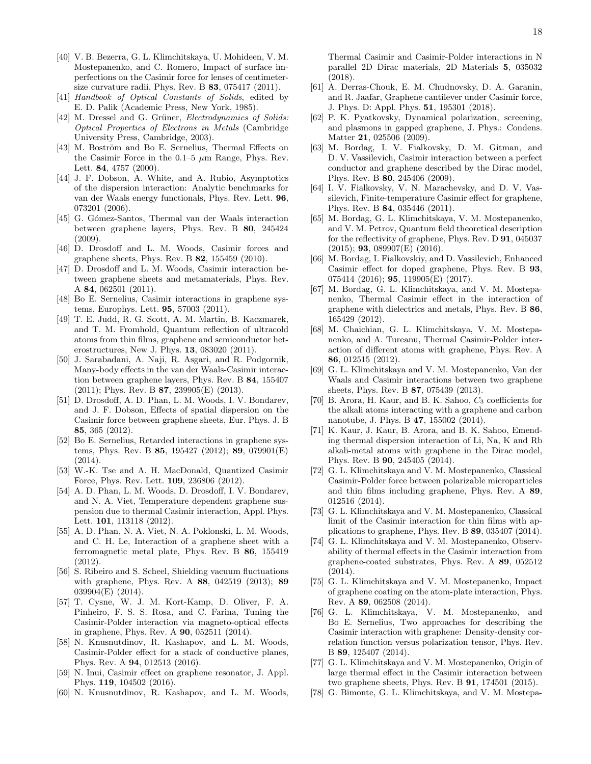- <span id="page-17-0"></span>[40] V. B. Bezerra, G. L. Klimchitskaya, U. Mohideen, V. M. Mostepanenko, and C. Romero, Impact of surface imperfections on the Casimir force for lenses of centimetersize curvature radii, Phys. Rev. B 83, 075417 (2011).
- <span id="page-17-1"></span>[41] Handbook of Optical Constants of Solids, edited by E. D. Palik (Academic Press, New York, 1985).
- <span id="page-17-2"></span>[42] M. Dressel and G. Grüner, *Electrodynamics of Solids:* Optical Properties of Electrons in Metals (Cambridge University Press, Cambridge, 2003).
- <span id="page-17-3"></span>[43] M. Boström and Bo E. Sernelius, Thermal Effects on the Casimir Force in the  $0.1-5 \mu m$  Range, Phys. Rev. Lett. 84, 4757 (2000).
- <span id="page-17-4"></span>[44] J. F. Dobson, A. White, and A. Rubio, Asymptotics of the dispersion interaction: Analytic benchmarks for van der Waals energy functionals, Phys. Rev. Lett. 96, 073201 (2006).
- <span id="page-17-6"></span>[45] G. Gómez-Santos, Thermal van der Waals interaction between graphene layers, Phys. Rev. B 80, 245424 (2009).
- [46] D. Drosdoff and L. M. Woods, Casimir forces and graphene sheets, Phys. Rev. B 82, 155459 (2010).
- [47] D. Drosdoff and L. M. Woods, Casimir interaction between graphene sheets and metamaterials, Phys. Rev. A 84, 062501 (2011).
- [48] Bo E. Sernelius, Casimir interactions in graphene systems, Europhys. Lett. 95, 57003 (2011).
- [49] T. E. Judd, R. G. Scott, A. M. Martin, B. Kaczmarek, and T. M. Fromhold, Quantum reflection of ultracold atoms from thin films, graphene and semiconductor heterostructures, New J. Phys. 13, 083020 (2011).
- [50] J. Sarabadani, A. Naji, R. Asgari, and R. Podgornik, Many-body effects in the van der Waals-Casimir interaction between graphene layers, Phys. Rev. B 84, 155407  $(2011)$ ; Phys. Rev. B 87, 239905(E)  $(2013)$ .
- [51] D. Drosdoff, A. D. Phan, L. M. Woods, I. V. Bondarev, and J. F. Dobson, Effects of spatial dispersion on the Casimir force between graphene sheets, Eur. Phys. J. B 85, 365 (2012).
- [52] Bo E. Sernelius, Retarded interactions in graphene systems, Phys. Rev. B 85, 195427 (2012); 89, 079901(E) (2014).
- [53] W.-K. Tse and A. H. MacDonald, Quantized Casimir Force, Phys. Rev. Lett. 109, 236806 (2012).
- [54] A. D. Phan, L. M. Woods, D. Drosdoff, I. V. Bondarev, and N. A. Viet, Temperature dependent graphene suspension due to thermal Casimir interaction, Appl. Phys. Lett. 101, 113118 (2012).
- [55] A. D. Phan, N. A. Viet, N. A. Poklonski, L. M. Woods, and C. H. Le, Interaction of a graphene sheet with a ferromagnetic metal plate, Phys. Rev. B 86, 155419 (2012).
- [56] S. Ribeiro and S. Scheel, Shielding vacuum fluctuations with graphene, Phys. Rev. A 88, 042519 (2013); 89 039904(E) (2014).
- [57] T. Cysne, W. J. M. Kort-Kamp, D. Oliver, F. A. Pinheiro, F. S. S. Rosa, and C. Farina, Tuning the Casimir-Polder interaction via magneto-optical effects in graphene, Phys. Rev. A 90, 052511 (2014).
- [58] N. Knusnutdinov, R. Kashapov, and L. M. Woods, Casimir-Polder effect for a stack of conductive planes, Phys. Rev. A 94, 012513 (2016).
- [59] N. Inui, Casimir effect on graphene resonator, J. Appl. Phys. 119, 104502 (2016).
- [60] N. Knusnutdinov, R. Kashapov, and L. M. Woods,

Thermal Casimir and Casimir-Polder interactions in N parallel 2D Dirac materials, 2D Materials 5, 035032 (2018).

- <span id="page-17-5"></span>[61] A. Derras-Chouk, E. M. Chudnovsky, D. A. Garanin, and R. Jaafar, Graphene cantilever under Casimir force, J. Phys. D: Appl. Phys. 51, 195301 (2018).
- <span id="page-17-7"></span>[62] P. K. Pyatkovsky, Dynamical polarization, screening, and plasmons in gapped graphene, J. Phys.: Condens. Matter 21, 025506 (2009).
- <span id="page-17-8"></span>[63] M. Bordag, I. V. Fialkovsky, D. M. Gitman, and D. V. Vassilevich, Casimir interaction between a perfect conductor and graphene described by the Dirac model, Phys. Rev. B 80, 245406 (2009).
- <span id="page-17-9"></span>[64] I. V. Fialkovsky, V. N. Marachevsky, and D. V. Vassilevich, Finite-temperature Casimir effect for graphene, Phys. Rev. B 84, 035446 (2011).
- <span id="page-17-10"></span>[65] M. Bordag, G. L. Klimchitskaya, V. M. Mostepanenko, and V. M. Petrov, Quantum field theoretical description for the reflectivity of graphene, Phys. Rev. D 91, 045037  $(2015)$ ; **93**, 089907(E)  $(2016)$ .
- <span id="page-17-11"></span>[66] M. Bordag, I. Fialkovskiy, and D. Vassilevich, Enhanced Casimir effect for doped graphene, Phys. Rev. B 93, 075414 (2016); 95, 119905(E) (2017).
- <span id="page-17-12"></span>[67] M. Bordag, G. L. Klimchitskaya, and V. M. Mostepanenko, Thermal Casimir effect in the interaction of graphene with dielectrics and metals, Phys. Rev. B 86, 165429 (2012).
- [68] M. Chaichian, G. L. Klimchitskaya, V. M. Mostepanenko, and A. Tureanu, Thermal Casimir-Polder interaction of different atoms with graphene, Phys. Rev. A 86, 012515 (2012).
- <span id="page-17-13"></span>[69] G. L. Klimchitskaya and V. M. Mostepanenko, Van der Waals and Casimir interactions between two graphene sheets, Phys. Rev. B 87, 075439 (2013).
- [70] B. Arora, H. Kaur, and B. K. Sahoo,  $C_3$  coefficients for the alkali atoms interacting with a graphene and carbon nanotube, J. Phys. B 47, 155002 (2014).
- [71] K. Kaur, J. Kaur, B. Arora, and B. K. Sahoo, Emending thermal dispersion interaction of Li, Na, K and Rb alkali-metal atoms with graphene in the Dirac model, Phys. Rev. B 90, 245405 (2014).
- [72] G. L. Klimchitskaya and V. M. Mostepanenko, Classical Casimir-Polder force between polarizable microparticles and thin films including graphene, Phys. Rev. A 89, 012516 (2014).
- [73] G. L. Klimchitskaya and V. M. Mostepanenko, Classical limit of the Casimir interaction for thin films with applications to graphene, Phys. Rev. B 89, 035407 (2014).
- <span id="page-17-16"></span>[74] G. L. Klimchitskaya and V. M. Mostepanenko, Observability of thermal effects in the Casimir interaction from graphene-coated substrates, Phys. Rev. A 89, 052512 (2014).
- [75] G. L. Klimchitskaya and V. M. Mostepanenko, Impact of graphene coating on the atom-plate interaction, Phys. Rev. A 89, 062508 (2014).
- <span id="page-17-14"></span>[76] G. L. Klimchitskaya, V. M. Mostepanenko, and Bo E. Sernelius, Two approaches for describing the Casimir interaction with graphene: Density-density correlation function versus polarization tensor, Phys. Rev. B 89, 125407 (2014).
- <span id="page-17-15"></span>[77] G. L. Klimchitskaya and V. M. Mostepanenko, Origin of large thermal effect in the Casimir interaction between two graphene sheets, Phys. Rev. B 91, 174501 (2015).
- [78] G. Bimonte, G. L. Klimchitskaya, and V. M. Mostepa-